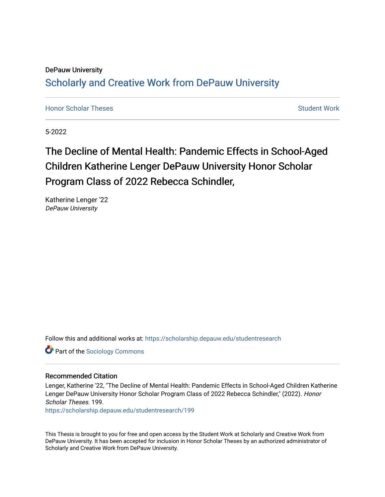## DePauw University Scholarly and [Creative Work from DePauw Univ](https://scholarship.depauw.edu/)ersity

**[Honor Scholar Theses](https://scholarship.depauw.edu/studentresearch) [Student Work](https://scholarship.depauw.edu/studentwork) Student Work Student Work** 

5-2022

# The Decline of Mental Health: Pandemic Effects in School-Aged Children Katherine Lenger DePauw University Honor Scholar Program Class of 2022 Rebecca Schindler,

Katherine Lenger '22 DePauw University

Follow this and additional works at: [https://scholarship.depauw.edu/studentresearch](https://scholarship.depauw.edu/studentresearch?utm_source=scholarship.depauw.edu%2Fstudentresearch%2F199&utm_medium=PDF&utm_campaign=PDFCoverPages)

**Part of the [Sociology Commons](https://network.bepress.com/hgg/discipline/416?utm_source=scholarship.depauw.edu%2Fstudentresearch%2F199&utm_medium=PDF&utm_campaign=PDFCoverPages)** 

#### Recommended Citation

Lenger, Katherine '22, "The Decline of Mental Health: Pandemic Effects in School-Aged Children Katherine Lenger DePauw University Honor Scholar Program Class of 2022 Rebecca Schindler," (2022). Honor Scholar Theses. 199.

[https://scholarship.depauw.edu/studentresearch/199](https://scholarship.depauw.edu/studentresearch/199?utm_source=scholarship.depauw.edu%2Fstudentresearch%2F199&utm_medium=PDF&utm_campaign=PDFCoverPages)

This Thesis is brought to you for free and open access by the Student Work at Scholarly and Creative Work from DePauw University. It has been accepted for inclusion in Honor Scholar Theses by an authorized administrator of Scholarly and Creative Work from DePauw University.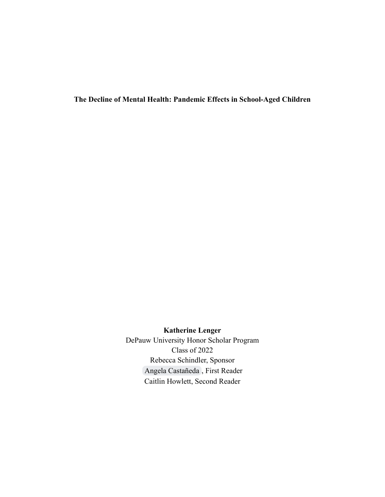**The Decline of Mental Health: Pandemic Effects in School-Aged Children**

**Katherine Lenger**

DePauw University Honor Scholar Program Class of 2022 Rebecca Schindler, Sponsor [Angela Castañeda](mailto:acastaneda@depauw.edu) , First Reader Caitlin Howlett, Second Reader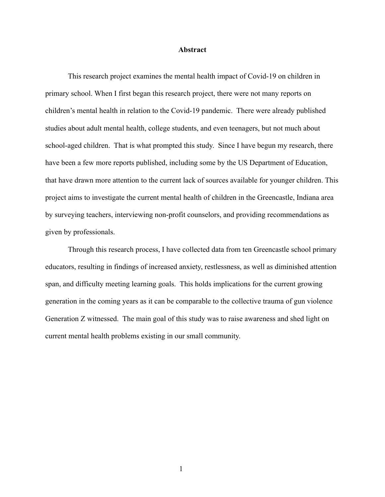#### **Abstract**

This research project examines the mental health impact of Covid-19 on children in primary school. When I first began this research project, there were not many reports on children's mental health in relation to the Covid-19 pandemic. There were already published studies about adult mental health, college students, and even teenagers, but not much about school-aged children. That is what prompted this study. Since I have begun my research, there have been a few more reports published, including some by the US Department of Education, that have drawn more attention to the current lack of sources available for younger children. This project aims to investigate the current mental health of children in the Greencastle, Indiana area by surveying teachers, interviewing non-profit counselors, and providing recommendations as given by professionals.

Through this research process, I have collected data from ten Greencastle school primary educators, resulting in findings of increased anxiety, restlessness, as well as diminished attention span, and difficulty meeting learning goals. This holds implications for the current growing generation in the coming years as it can be comparable to the collective trauma of gun violence Generation Z witnessed. The main goal of this study was to raise awareness and shed light on current mental health problems existing in our small community.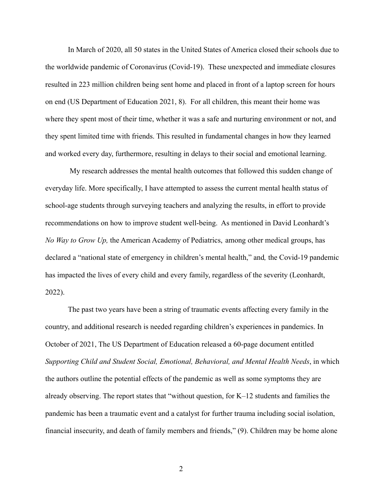In March of 2020, all 50 states in the United States of America closed their schools due to the worldwide pandemic of Coronavirus (Covid-19). These unexpected and immediate closures resulted in 223 million children being sent home and placed in front of a laptop screen for hours on end (US Department of Education 2021, 8). For all children, this meant their home was where they spent most of their time, whether it was a safe and nurturing environment or not, and they spent limited time with friends. This resulted in fundamental changes in how they learned and worked every day, furthermore, resulting in delays to their social and emotional learning.

My research addresses the mental health outcomes that followed this sudden change of everyday life. More specifically, I have attempted to assess the current mental health status of school-age students through surveying teachers and analyzing the results, in effort to provide recommendations on how to improve student well-being. As mentioned in David Leonhardt's *No Way to Grow Up,* the American Academy of Pediatrics, among other medical groups, has declared a "national state of emergency in children's mental health," and*,* the Covid-19 pandemic has impacted the lives of every child and every family, regardless of the severity (Leonhardt, 2022).

The past two years have been a string of traumatic events affecting every family in the country, and additional research is needed regarding children's experiences in pandemics. In October of 2021, The US Department of Education released a 60-page document entitled *Supporting Child and Student Social, Emotional, Behavioral, and Mental Health Needs*, in which the authors outline the potential effects of the pandemic as well as some symptoms they are already observing. The report states that "without question, for K–12 students and families the pandemic has been a traumatic event and a catalyst for further trauma including social isolation, financial insecurity, and death of family members and friends," (9). Children may be home alone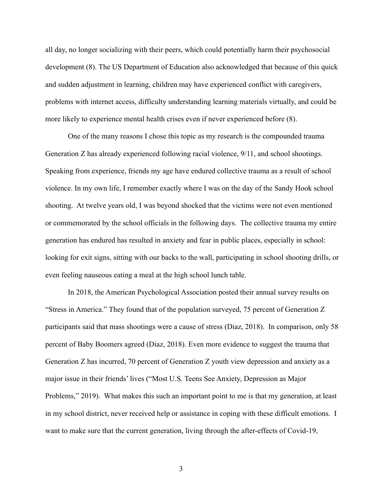all day, no longer socializing with their peers, which could potentially harm their psychosocial development (8). The US Department of Education also acknowledged that because of this quick and sudden adjustment in learning, children may have experienced conflict with caregivers, problems with internet access, difficulty understanding learning materials virtually, and could be more likely to experience mental health crises even if never experienced before (8).

One of the many reasons I chose this topic as my research is the compounded trauma Generation Z has already experienced following racial violence, 9/11, and school shootings. Speaking from experience, friends my age have endured collective trauma as a result of school violence. In my own life, I remember exactly where I was on the day of the Sandy Hook school shooting. At twelve years old, I was beyond shocked that the victims were not even mentioned or commemorated by the school officials in the following days. The collective trauma my entire generation has endured has resulted in anxiety and fear in public places, especially in school: looking for exit signs, sitting with our backs to the wall, participating in school shooting drills, or even feeling nauseous eating a meal at the high school lunch table.

In 2018, the American Psychological Association posted their annual survey results on "Stress in America." They found that of the population surveyed, 75 percent of Generation Z participants said that mass shootings were a cause of stress (Diaz, 2018). In comparison, only 58 percent of Baby Boomers agreed (Diaz, 2018). Even more evidence to suggest the trauma that Generation Z has incurred, 70 percent of Generation Z youth view depression and anxiety as a major issue in their friends' lives ("Most U.S. Teens See Anxiety, Depression as Major Problems," 2019). What makes this such an important point to me is that my generation, at least in my school district, never received help or assistance in coping with these difficult emotions. I want to make sure that the current generation, living through the after-effects of Covid-19,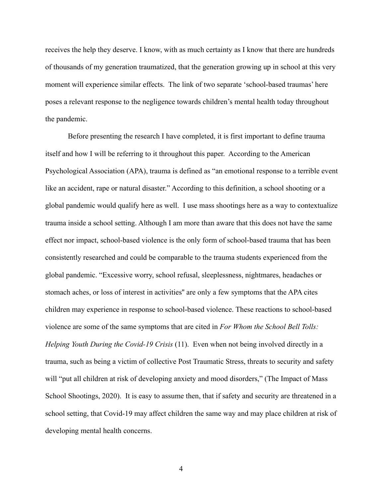receives the help they deserve. I know, with as much certainty as I know that there are hundreds of thousands of my generation traumatized, that the generation growing up in school at this very moment will experience similar effects. The link of two separate 'school-based traumas' here poses a relevant response to the negligence towards children's mental health today throughout the pandemic.

Before presenting the research I have completed, it is first important to define trauma itself and how I will be referring to it throughout this paper. According to the American Psychological Association (APA), trauma is defined as "an emotional response to a terrible event like an accident, rape or natural disaster." According to this definition, a school shooting or a global pandemic would qualify here as well. I use mass shootings here as a way to contextualize trauma inside a school setting. Although I am more than aware that this does not have the same effect nor impact, school-based violence is the only form of school-based trauma that has been consistently researched and could be comparable to the trauma students experienced from the global pandemic. "Excessive worry, school refusal, sleeplessness, nightmares, headaches or stomach aches, or loss of interest in activities'' are only a few symptoms that the APA cites children may experience in response to school-based violence. These reactions to school-based violence are some of the same symptoms that are cited in *For Whom the School Bell Tolls: Helping Youth During the Covid-19 Crisis* (11). Even when not being involved directly in a trauma, such as being a victim of collective Post Traumatic Stress, threats to security and safety will "put all children at risk of developing anxiety and mood disorders," (The Impact of Mass School Shootings, 2020). It is easy to assume then, that if safety and security are threatened in a school setting, that Covid-19 may affect children the same way and may place children at risk of developing mental health concerns.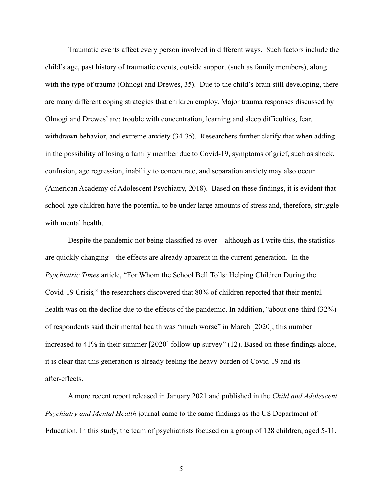Traumatic events affect every person involved in different ways. Such factors include the child's age, past history of traumatic events, outside support (such as family members), along with the type of trauma (Ohnogi and Drewes, 35). Due to the child's brain still developing, there are many different coping strategies that children employ. Major trauma responses discussed by Ohnogi and Drewes' are: trouble with concentration, learning and sleep difficulties, fear, withdrawn behavior, and extreme anxiety (34-35). Researchers further clarify that when adding in the possibility of losing a family member due to Covid-19, symptoms of grief, such as shock, confusion, age regression, inability to concentrate, and separation anxiety may also occur (American Academy of Adolescent Psychiatry, 2018). Based on these findings, it is evident that school-age children have the potential to be under large amounts of stress and, therefore, struggle with mental health.

Despite the pandemic not being classified as over—although as I write this, the statistics are quickly changing—the effects are already apparent in the current generation. In the *Psychiatric Times* article, "For Whom the School Bell Tolls: Helping Children During the Covid-19 Crisis*,*" the researchers discovered that 80% of children reported that their mental health was on the decline due to the effects of the pandemic. In addition, "about one-third (32%) of respondents said their mental health was "much worse" in March [2020]; this number increased to 41% in their summer [2020] follow-up survey" (12). Based on these findings alone, it is clear that this generation is already feeling the heavy burden of Covid-19 and its after-effects.

A more recent report released in January 2021 and published in the *Child and Adolescent Psychiatry and Mental Health* journal came to the same findings as the US Department of Education. In this study, the team of psychiatrists focused on a group of 128 children, aged 5-11,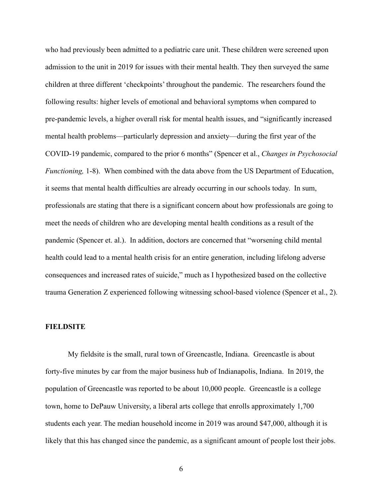who had previously been admitted to a pediatric care unit. These children were screened upon admission to the unit in 2019 for issues with their mental health. They then surveyed the same children at three different 'checkpoints' throughout the pandemic. The researchers found the following results: higher levels of emotional and behavioral symptoms when compared to pre-pandemic levels, a higher overall risk for mental health issues, and "significantly increased mental health problems—particularly depression and anxiety—during the first year of the COVID-19 pandemic, compared to the prior 6 months" (Spencer et al., *Changes in Psychosocial Functioning,* 1-8). When combined with the data above from the US Department of Education, it seems that mental health difficulties are already occurring in our schools today. In sum, professionals are stating that there is a significant concern about how professionals are going to meet the needs of children who are developing mental health conditions as a result of the pandemic (Spencer et. al.). In addition, doctors are concerned that "worsening child mental health could lead to a mental health crisis for an entire generation, including lifelong adverse consequences and increased rates of suicide," much as I hypothesized based on the collective trauma Generation Z experienced following witnessing school-based violence (Spencer et al., 2).

#### **FIELDSITE**

My fieldsite is the small, rural town of Greencastle, Indiana. Greencastle is about forty-five minutes by car from the major business hub of Indianapolis, Indiana. In 2019, the population of Greencastle was reported to be about 10,000 people. Greencastle is a college town, home to DePauw University, a liberal arts college that enrolls approximately 1,700 students each year. The median household income in 2019 was around \$47,000, although it is likely that this has changed since the pandemic, as a significant amount of people lost their jobs.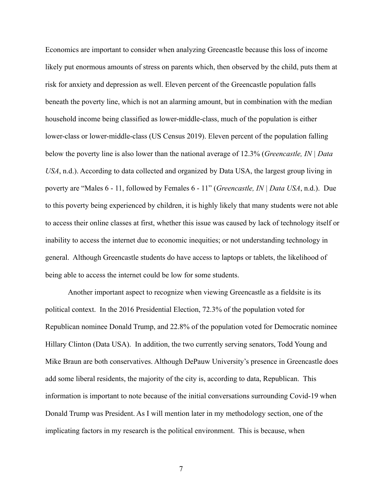Economics are important to consider when analyzing Greencastle because this loss of income likely put enormous amounts of stress on parents which, then observed by the child, puts them at risk for anxiety and depression as well. Eleven percent of the Greencastle population falls beneath the poverty line, which is not an alarming amount, but in combination with the median household income being classified as lower-middle-class, much of the population is either lower-class or lower-middle-class (US Census 2019). Eleven percent of the population falling below the poverty line is also lower than the national average of 12.3% (*Greencastle, IN | Data USA*, n.d.). According to data collected and organized by Data USA, the largest group living in poverty are "Males 6 - 11, followed by Females 6 - 11" (*Greencastle, IN | Data USA*, n.d.). Due to this poverty being experienced by children, it is highly likely that many students were not able to access their online classes at first, whether this issue was caused by lack of technology itself or inability to access the internet due to economic inequities; or not understanding technology in general. Although Greencastle students do have access to laptops or tablets, the likelihood of being able to access the internet could be low for some students.

Another important aspect to recognize when viewing Greencastle as a fieldsite is its political context. In the 2016 Presidential Election, 72.3% of the population voted for Republican nominee Donald Trump, and 22.8% of the population voted for Democratic nominee Hillary Clinton (Data USA). In addition, the two currently serving senators, Todd Young and Mike Braun are both conservatives. Although DePauw University's presence in Greencastle does add some liberal residents, the majority of the city is, according to data, Republican. This information is important to note because of the initial conversations surrounding Covid-19 when Donald Trump was President. As I will mention later in my methodology section, one of the implicating factors in my research is the political environment. This is because, when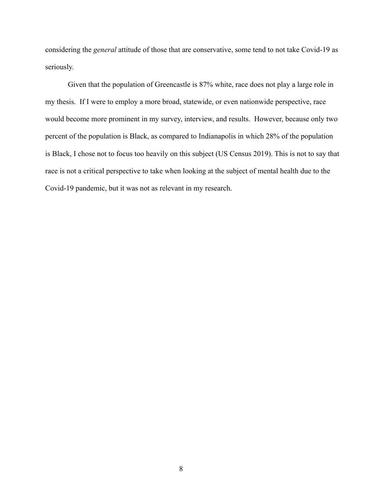considering the *general* attitude of those that are conservative, some tend to not take Covid-19 as seriously.

Given that the population of Greencastle is 87% white, race does not play a large role in my thesis. If I were to employ a more broad, statewide, or even nationwide perspective, race would become more prominent in my survey, interview, and results. However, because only two percent of the population is Black, as compared to Indianapolis in which 28% of the population is Black, I chose not to focus too heavily on this subject (US Census 2019). This is not to say that race is not a critical perspective to take when looking at the subject of mental health due to the Covid-19 pandemic, but it was not as relevant in my research.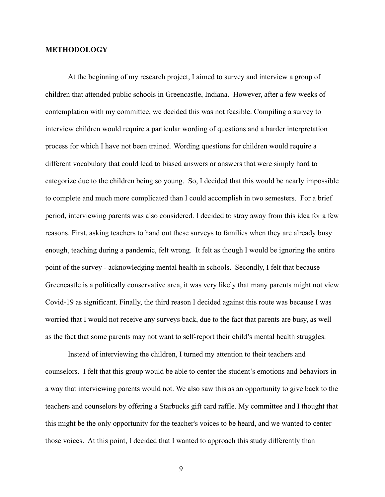#### **METHODOLOGY**

At the beginning of my research project, I aimed to survey and interview a group of children that attended public schools in Greencastle, Indiana. However, after a few weeks of contemplation with my committee, we decided this was not feasible. Compiling a survey to interview children would require a particular wording of questions and a harder interpretation process for which I have not been trained. Wording questions for children would require a different vocabulary that could lead to biased answers or answers that were simply hard to categorize due to the children being so young. So, I decided that this would be nearly impossible to complete and much more complicated than I could accomplish in two semesters. For a brief period, interviewing parents was also considered. I decided to stray away from this idea for a few reasons. First, asking teachers to hand out these surveys to families when they are already busy enough, teaching during a pandemic, felt wrong. It felt as though I would be ignoring the entire point of the survey - acknowledging mental health in schools. Secondly, I felt that because Greencastle is a politically conservative area, it was very likely that many parents might not view Covid-19 as significant. Finally, the third reason I decided against this route was because I was worried that I would not receive any surveys back, due to the fact that parents are busy, as well as the fact that some parents may not want to self-report their child's mental health struggles.

Instead of interviewing the children, I turned my attention to their teachers and counselors. I felt that this group would be able to center the student's emotions and behaviors in a way that interviewing parents would not. We also saw this as an opportunity to give back to the teachers and counselors by offering a Starbucks gift card raffle. My committee and I thought that this might be the only opportunity for the teacher's voices to be heard, and we wanted to center those voices. At this point, I decided that I wanted to approach this study differently than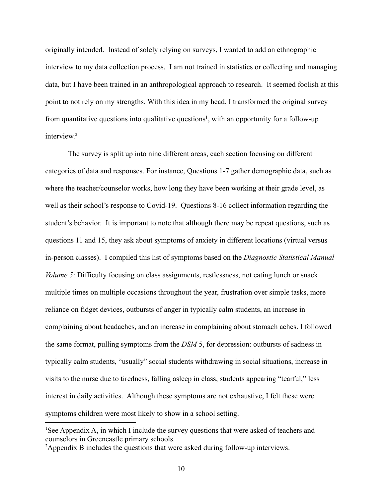originally intended. Instead of solely relying on surveys, I wanted to add an ethnographic interview to my data collection process. I am not trained in statistics or collecting and managing data, but I have been trained in an anthropological approach to research. It seemed foolish at this point to not rely on my strengths. With this idea in my head, I transformed the original survey from quantitative questions into qualitative questions<sup>1</sup>, with an opportunity for a follow-up interview. 2

The survey is split up into nine different areas, each section focusing on different categories of data and responses. For instance, Questions 1-7 gather demographic data, such as where the teacher/counselor works, how long they have been working at their grade level, as well as their school's response to Covid-19. Questions 8-16 collect information regarding the student's behavior. It is important to note that although there may be repeat questions, such as questions 11 and 15, they ask about symptoms of anxiety in different locations (virtual versus in-person classes). I compiled this list of symptoms based on the *Diagnostic Statistical Manual Volume 5*: Difficulty focusing on class assignments, restlessness, not eating lunch or snack multiple times on multiple occasions throughout the year, frustration over simple tasks, more reliance on fidget devices, outbursts of anger in typically calm students, an increase in complaining about headaches, and an increase in complaining about stomach aches. I followed the same format, pulling symptoms from the *DSM* 5, for depression: outbursts of sadness in typically calm students, "usually" social students withdrawing in social situations, increase in visits to the nurse due to tiredness, falling asleep in class, students appearing "tearful," less interest in daily activities. Although these symptoms are not exhaustive, I felt these were symptoms children were most likely to show in a school setting.

<sup>1</sup>See Appendix A, in which I include the survey questions that were asked of teachers and counselors in Greencastle primary schools.

<sup>2</sup>Appendix B includes the questions that were asked during follow-up interviews.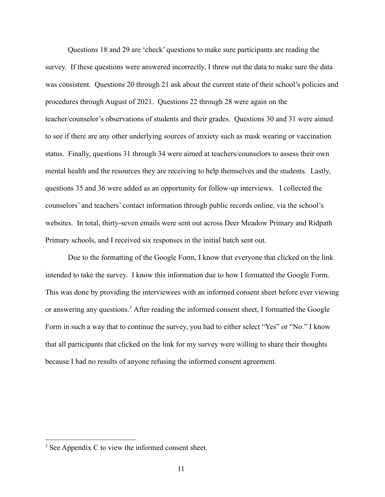Questions 18 and 29 are 'check' questions to make sure participants are reading the survey. If these questions were answered incorrectly, I threw out the data to make sure the data was consistent. Questions 20 through 21 ask about the current state of their school's policies and procedures through August of 2021. Questions 22 through 28 were again on the teacher/counselor's observations of students and their grades. Questions 30 and 31 were aimed to see if there are any other underlying sources of anxiety such as mask wearing or vaccination status. Finally, questions 31 through 34 were aimed at teachers/counselors to assess their own mental health and the resources they are receiving to help themselves and the students. Lastly, questions 35 and 36 were added as an opportunity for follow-up interviews. I collected the counselors' and teachers' contact information through public records online, via the school's websites. In total, thirty-seven emails were sent out across Deer Meadow Primary and Ridpath Primary schools, and I received six responses in the initial batch sent out.

Due to the formatting of the Google Form, I know that everyone that clicked on the link intended to take the survey. I know this information due to how I formatted the Google Form. This was done by providing the interviewees with an informed consent sheet before ever viewing or answering any questions.<sup>3</sup> After reading the informed consent sheet, I formatted the Google Form in such a way that to continue the survey, you had to either select "Yes" or "No." I know that all participants that clicked on the link for my survey were willing to share their thoughts because I had no results of anyone refusing the informed consent agreement.

<sup>3</sup> See Appendix C to view the informed consent sheet.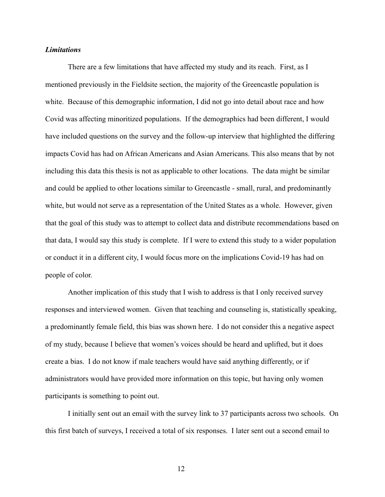#### *Limitations*

There are a few limitations that have affected my study and its reach. First, as I mentioned previously in the Fieldsite section, the majority of the Greencastle population is white. Because of this demographic information, I did not go into detail about race and how Covid was affecting minoritized populations. If the demographics had been different, I would have included questions on the survey and the follow-up interview that highlighted the differing impacts Covid has had on African Americans and Asian Americans. This also means that by not including this data this thesis is not as applicable to other locations. The data might be similar and could be applied to other locations similar to Greencastle - small, rural, and predominantly white, but would not serve as a representation of the United States as a whole. However, given that the goal of this study was to attempt to collect data and distribute recommendations based on that data, I would say this study is complete. If I were to extend this study to a wider population or conduct it in a different city, I would focus more on the implications Covid-19 has had on people of color.

Another implication of this study that I wish to address is that I only received survey responses and interviewed women. Given that teaching and counseling is, statistically speaking, a predominantly female field, this bias was shown here. I do not consider this a negative aspect of my study, because I believe that women's voices should be heard and uplifted, but it does create a bias. I do not know if male teachers would have said anything differently, or if administrators would have provided more information on this topic, but having only women participants is something to point out.

I initially sent out an email with the survey link to 37 participants across two schools. On this first batch of surveys, I received a total of six responses. I later sent out a second email to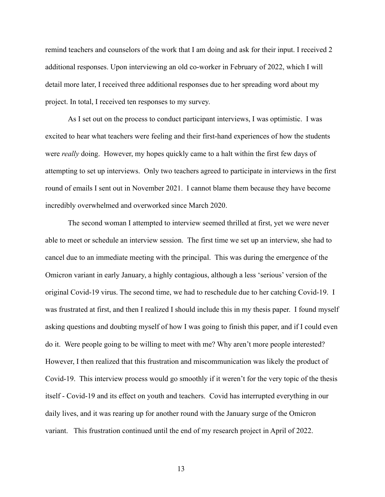remind teachers and counselors of the work that I am doing and ask for their input. I received 2 additional responses. Upon interviewing an old co-worker in February of 2022, which I will detail more later, I received three additional responses due to her spreading word about my project. In total, I received ten responses to my survey.

As I set out on the process to conduct participant interviews, I was optimistic. I was excited to hear what teachers were feeling and their first-hand experiences of how the students were *really* doing. However, my hopes quickly came to a halt within the first few days of attempting to set up interviews. Only two teachers agreed to participate in interviews in the first round of emails I sent out in November 2021. I cannot blame them because they have become incredibly overwhelmed and overworked since March 2020.

The second woman I attempted to interview seemed thrilled at first, yet we were never able to meet or schedule an interview session. The first time we set up an interview, she had to cancel due to an immediate meeting with the principal. This was during the emergence of the Omicron variant in early January, a highly contagious, although a less 'serious' version of the original Covid-19 virus. The second time, we had to reschedule due to her catching Covid-19. I was frustrated at first, and then I realized I should include this in my thesis paper. I found myself asking questions and doubting myself of how I was going to finish this paper, and if I could even do it. Were people going to be willing to meet with me? Why aren't more people interested? However, I then realized that this frustration and miscommunication was likely the product of Covid-19. This interview process would go smoothly if it weren't for the very topic of the thesis itself - Covid-19 and its effect on youth and teachers. Covid has interrupted everything in our daily lives, and it was rearing up for another round with the January surge of the Omicron variant. This frustration continued until the end of my research project in April of 2022.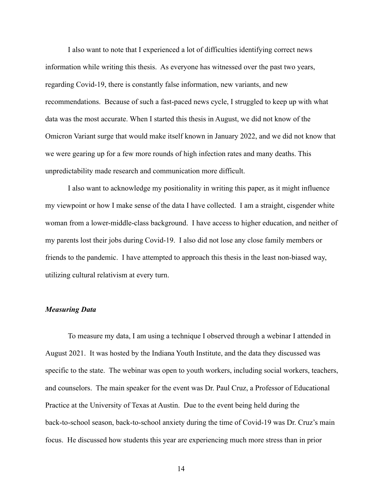I also want to note that I experienced a lot of difficulties identifying correct news information while writing this thesis. As everyone has witnessed over the past two years, regarding Covid-19, there is constantly false information, new variants, and new recommendations. Because of such a fast-paced news cycle, I struggled to keep up with what data was the most accurate. When I started this thesis in August, we did not know of the Omicron Variant surge that would make itself known in January 2022, and we did not know that we were gearing up for a few more rounds of high infection rates and many deaths. This unpredictability made research and communication more difficult.

I also want to acknowledge my positionality in writing this paper, as it might influence my viewpoint or how I make sense of the data I have collected. I am a straight, cisgender white woman from a lower-middle-class background. I have access to higher education, and neither of my parents lost their jobs during Covid-19. I also did not lose any close family members or friends to the pandemic. I have attempted to approach this thesis in the least non-biased way, utilizing cultural relativism at every turn.

#### *Measuring Data*

To measure my data, I am using a technique I observed through a webinar I attended in August 2021. It was hosted by the Indiana Youth Institute, and the data they discussed was specific to the state. The webinar was open to youth workers, including social workers, teachers, and counselors. The main speaker for the event was Dr. Paul Cruz, a Professor of Educational Practice at the University of Texas at Austin. Due to the event being held during the back-to-school season, back-to-school anxiety during the time of Covid-19 was Dr. Cruz's main focus. He discussed how students this year are experiencing much more stress than in prior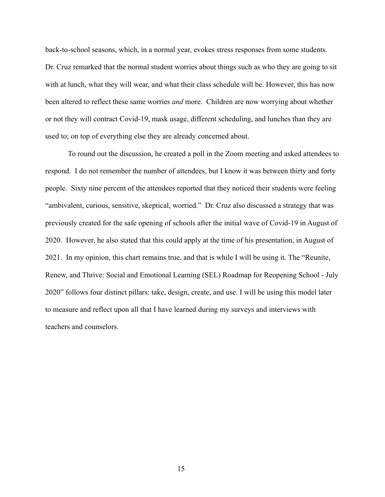back-to-school seasons, which, in a normal year, evokes stress responses from some students. Dr. Cruz remarked that the normal student worries about things such as who they are going to sit with at lunch, what they will wear, and what their class schedule will be. However, this has now been altered to reflect these same worries *and* more. Children are now worrying about whether or not they will contract Covid-19, mask usage, different scheduling, and lunches than they are used to; on top of everything else they are already concerned about.

To round out the discussion, he created a poll in the Zoom meeting and asked attendees to respond. I do not remember the number of attendees, but I know it was between thirty and forty people. Sixty nine percent of the attendees reported that they noticed their students were feeling "ambivalent, curious, sensitive, skeptical, worried." Dr. Cruz also discussed a strategy that was previously created for the safe opening of schools after the initial wave of Covid-19 in August of 2020. However, he also stated that this could apply at the time of his presentation, in August of 2021. In my opinion, this chart remains true, and that is while I will be using it. The "Reunite, Renew, and Thrive: Social and Emotional Learning (SEL) Roadmap for Reopening School - July 2020" follows four distinct pillars: take, design, create, and use. I will be using this model later to measure and reflect upon all that I have learned during my surveys and interviews with teachers and counselors.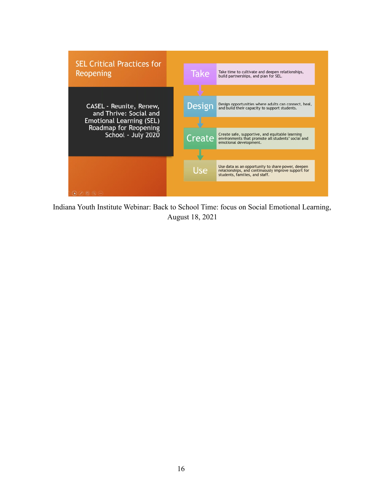

Indiana Youth Institute Webinar: Back to School Time: focus on Social Emotional Learning, August 18, 2021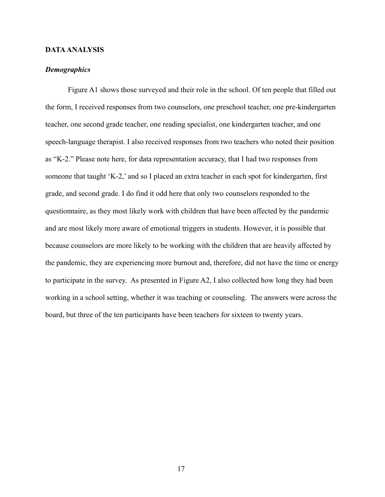#### **DATAANALYSIS**

#### *Demographics*

Figure A1 shows those surveyed and their role in the school. Of ten people that filled out the form, I received responses from two counselors, one preschool teacher, one pre-kindergarten teacher, one second grade teacher, one reading specialist, one kindergarten teacher, and one speech-language therapist. I also received responses from two teachers who noted their position as "K-2." Please note here, for data representation accuracy, that I had two responses from someone that taught 'K-2,' and so I placed an extra teacher in each spot for kindergarten, first grade, and second grade. I do find it odd here that only two counselors responded to the questionnaire, as they most likely work with children that have been affected by the pandemic and are most likely more aware of emotional triggers in students. However, it is possible that because counselors are more likely to be working with the children that are heavily affected by the pandemic, they are experiencing more burnout and, therefore, did not have the time or energy to participate in the survey. As presented in Figure A2, I also collected how long they had been working in a school setting, whether it was teaching or counseling. The answers were across the board, but three of the ten participants have been teachers for sixteen to twenty years.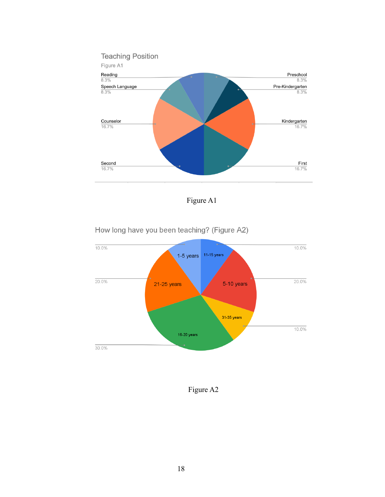

Figure A1

How long have you been teaching? (Figure A2)



Figure A2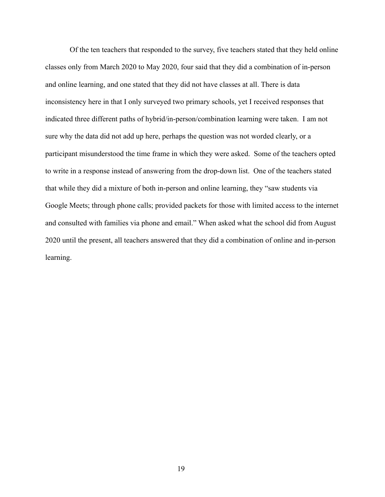Of the ten teachers that responded to the survey, five teachers stated that they held online classes only from March 2020 to May 2020, four said that they did a combination of in-person and online learning, and one stated that they did not have classes at all. There is data inconsistency here in that I only surveyed two primary schools, yet I received responses that indicated three different paths of hybrid/in-person/combination learning were taken. I am not sure why the data did not add up here, perhaps the question was not worded clearly, or a participant misunderstood the time frame in which they were asked. Some of the teachers opted to write in a response instead of answering from the drop-down list. One of the teachers stated that while they did a mixture of both in-person and online learning, they "saw students via Google Meets; through phone calls; provided packets for those with limited access to the internet and consulted with families via phone and email." When asked what the school did from August 2020 until the present, all teachers answered that they did a combination of online and in-person learning.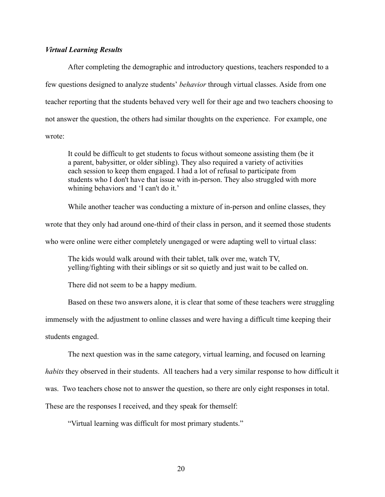#### *Virtual Learning Results*

After completing the demographic and introductory questions, teachers responded to a few questions designed to analyze students' *behavior* through virtual classes. Aside from one teacher reporting that the students behaved very well for their age and two teachers choosing to not answer the question, the others had similar thoughts on the experience. For example, one wrote:

It could be difficult to get students to focus without someone assisting them (be it a parent, babysitter, or older sibling). They also required a variety of activities each session to keep them engaged. I had a lot of refusal to participate from students who I don't have that issue with in-person. They also struggled with more whining behaviors and 'I can't do it.'

While another teacher was conducting a mixture of in-person and online classes, they wrote that they only had around one-third of their class in person, and it seemed those students who were online were either completely unengaged or were adapting well to virtual class:

The kids would walk around with their tablet, talk over me, watch TV, yelling/fighting with their siblings or sit so quietly and just wait to be called on.

There did not seem to be a happy medium.

Based on these two answers alone, it is clear that some of these teachers were struggling

immensely with the adjustment to online classes and were having a difficult time keeping their

students engaged.

The next question was in the same category, virtual learning, and focused on learning

*habits* they observed in their students. All teachers had a very similar response to how difficult it

was. Two teachers chose not to answer the question, so there are only eight responses in total.

These are the responses I received, and they speak for themself:

"Virtual learning was difficult for most primary students."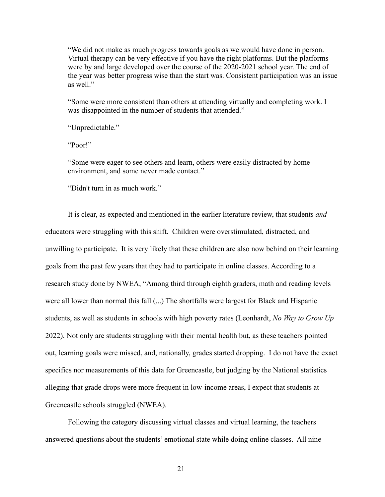"We did not make as much progress towards goals as we would have done in person. Virtual therapy can be very effective if you have the right platforms. But the platforms were by and large developed over the course of the 2020-2021 school year. The end of the year was better progress wise than the start was. Consistent participation was an issue as well."

"Some were more consistent than others at attending virtually and completing work. I was disappointed in the number of students that attended."

"Unpredictable."

"Poor!"

"Some were eager to see others and learn, others were easily distracted by home environment, and some never made contact."

"Didn't turn in as much work."

It is clear, as expected and mentioned in the earlier literature review, that students *and* educators were struggling with this shift. Children were overstimulated, distracted, and unwilling to participate. It is very likely that these children are also now behind on their learning goals from the past few years that they had to participate in online classes. According to a research study done by NWEA, "Among third through eighth graders, math and reading levels were all lower than normal this fall (...) The shortfalls were largest for Black and Hispanic students, as well as students in schools with high poverty rates (Leonhardt, *No Way to Grow Up* 2022). Not only are students struggling with their mental health but, as these teachers pointed out, learning goals were missed, and, nationally, grades started dropping. I do not have the exact specifics nor measurements of this data for Greencastle, but judging by the National statistics alleging that grade drops were more frequent in low-income areas, I expect that students at Greencastle schools struggled (NWEA).

Following the category discussing virtual classes and virtual learning, the teachers answered questions about the students' emotional state while doing online classes. All nine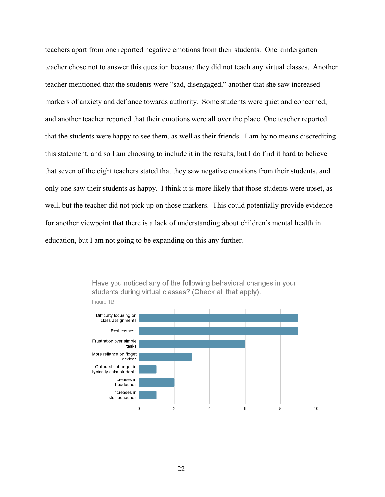teachers apart from one reported negative emotions from their students. One kindergarten teacher chose not to answer this question because they did not teach any virtual classes. Another teacher mentioned that the students were "sad, disengaged," another that she saw increased markers of anxiety and defiance towards authority. Some students were quiet and concerned, and another teacher reported that their emotions were all over the place. One teacher reported that the students were happy to see them, as well as their friends. I am by no means discrediting this statement, and so I am choosing to include it in the results, but I do find it hard to believe that seven of the eight teachers stated that they saw negative emotions from their students, and only one saw their students as happy. I think it is more likely that those students were upset, as well, but the teacher did not pick up on those markers. This could potentially provide evidence for another viewpoint that there is a lack of understanding about children's mental health in education, but I am not going to be expanding on this any further.



Have you noticed any of the following behavioral changes in your students during virtual classes? (Check all that apply).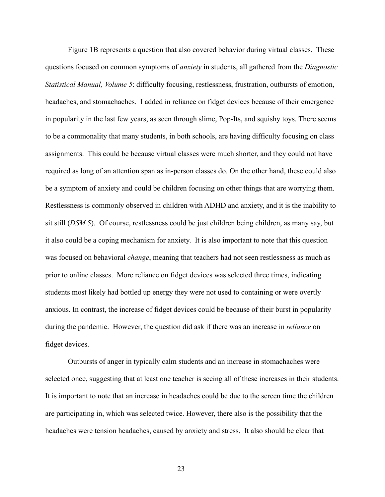Figure 1B represents a question that also covered behavior during virtual classes. These questions focused on common symptoms of *anxiety* in students, all gathered from the *Diagnostic Statistical Manual, Volume 5*: difficulty focusing, restlessness, frustration, outbursts of emotion, headaches, and stomachaches. I added in reliance on fidget devices because of their emergence in popularity in the last few years, as seen through slime, Pop-Its, and squishy toys. There seems to be a commonality that many students, in both schools, are having difficulty focusing on class assignments. This could be because virtual classes were much shorter, and they could not have required as long of an attention span as in-person classes do. On the other hand, these could also be a symptom of anxiety and could be children focusing on other things that are worrying them. Restlessness is commonly observed in children with ADHD and anxiety, and it is the inability to sit still (*DSM* 5). Of course, restlessness could be just children being children, as many say, but it also could be a coping mechanism for anxiety. It is also important to note that this question was focused on behavioral *change*, meaning that teachers had not seen restlessness as much as prior to online classes. More reliance on fidget devices was selected three times, indicating students most likely had bottled up energy they were not used to containing or were overtly anxious. In contrast, the increase of fidget devices could be because of their burst in popularity during the pandemic. However, the question did ask if there was an increase in *reliance* on fidget devices.

Outbursts of anger in typically calm students and an increase in stomachaches were selected once, suggesting that at least one teacher is seeing all of these increases in their students. It is important to note that an increase in headaches could be due to the screen time the children are participating in, which was selected twice. However, there also is the possibility that the headaches were tension headaches, caused by anxiety and stress. It also should be clear that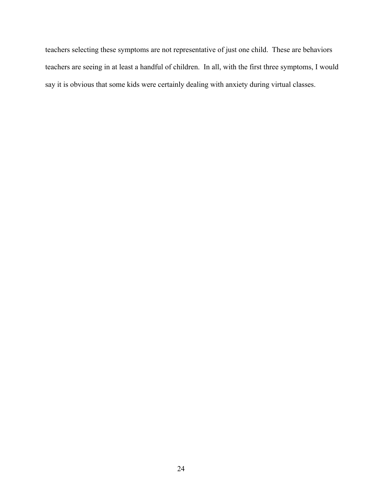teachers selecting these symptoms are not representative of just one child. These are behaviors teachers are seeing in at least a handful of children. In all, with the first three symptoms, I would say it is obvious that some kids were certainly dealing with anxiety during virtual classes.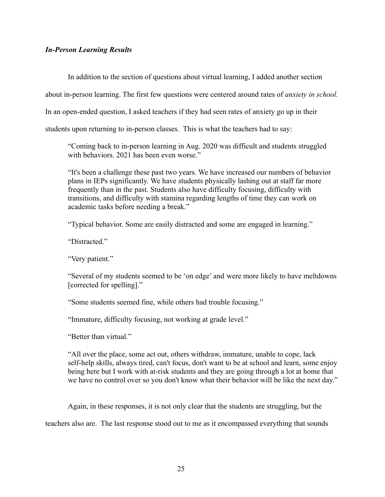## *In-Person Learning Results*

In addition to the section of questions about virtual learning, I added another section

about in-person learning. The first few questions were centered around rates of *anxiety in school.*

In an open-ended question, I asked teachers if they had seen rates of anxiety go up in their

students upon returning to in-person classes. This is what the teachers had to say:

"Coming back to in-person learning in Aug. 2020 was difficult and students struggled with behaviors. 2021 has been even worse."

"It's been a challenge these past two years. We have increased our numbers of behavior plans in IEPs significantly. We have students physically lashing out at staff far more frequently than in the past. Students also have difficulty focusing, difficulty with transitions, and difficulty with stamina regarding lengths of time they can work on academic tasks before needing a break."

"Typical behavior. Some are easily distracted and some are engaged in learning."

"Distracted."

"Very patient."

"Several of my students seemed to be 'on edge' and were more likely to have meltdowns [corrected for spelling]."

"Some students seemed fine, while others had trouble focusing."

"Immature, difficulty focusing, not working at grade level."

"Better than virtual"

"All over the place, some act out, others withdraw, immature, unable to cope, lack self-help skills, always tired, can't focus, don't want to be at school and learn, some enjoy being here but I work with at-risk students and they are going through a lot at home that we have no control over so you don't know what their behavior will be like the next day."

Again, in these responses, it is not only clear that the students are struggling, but the

teachers also are. The last response stood out to me as it encompassed everything that sounds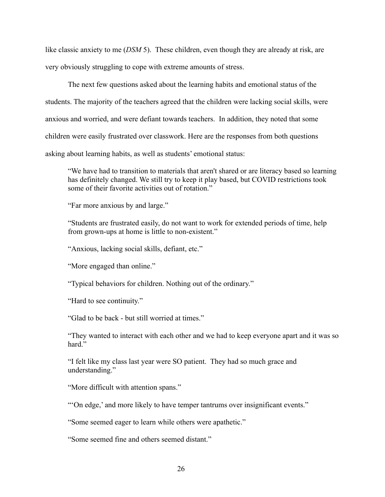like classic anxiety to me (*DSM* 5). These children, even though they are already at risk, are very obviously struggling to cope with extreme amounts of stress.

The next few questions asked about the learning habits and emotional status of the students. The majority of the teachers agreed that the children were lacking social skills, were anxious and worried, and were defiant towards teachers. In addition, they noted that some children were easily frustrated over classwork. Here are the responses from both questions asking about learning habits, as well as students' emotional status:

"We have had to transition to materials that aren't shared or are literacy based so learning has definitely changed. We still try to keep it play based, but COVID restrictions took some of their favorite activities out of rotation."

"Far more anxious by and large."

"Students are frustrated easily, do not want to work for extended periods of time, help from grown-ups at home is little to non-existent."

"Anxious, lacking social skills, defiant, etc."

"More engaged than online."

"Typical behaviors for children. Nothing out of the ordinary."

"Hard to see continuity."

"Glad to be back - but still worried at times."

"They wanted to interact with each other and we had to keep everyone apart and it was so hard"

"I felt like my class last year were SO patient. They had so much grace and understanding."

"More difficult with attention spans."

"'On edge,' and more likely to have temper tantrums over insignificant events."

"Some seemed eager to learn while others were apathetic."

"Some seemed fine and others seemed distant."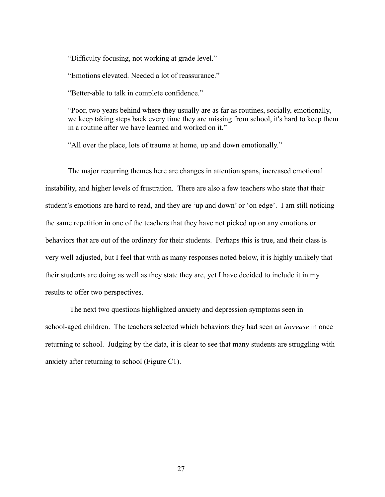"Difficulty focusing, not working at grade level."

"Emotions elevated. Needed a lot of reassurance."

"Better-able to talk in complete confidence."

"Poor, two years behind where they usually are as far as routines, socially, emotionally, we keep taking steps back every time they are missing from school, it's hard to keep them in a routine after we have learned and worked on it."

"All over the place, lots of trauma at home, up and down emotionally."

The major recurring themes here are changes in attention spans, increased emotional instability, and higher levels of frustration. There are also a few teachers who state that their student's emotions are hard to read, and they are 'up and down' or 'on edge'. I am still noticing the same repetition in one of the teachers that they have not picked up on any emotions or behaviors that are out of the ordinary for their students. Perhaps this is true, and their class is very well adjusted, but I feel that with as many responses noted below, it is highly unlikely that their students are doing as well as they state they are, yet I have decided to include it in my results to offer two perspectives.

The next two questions highlighted anxiety and depression symptoms seen in school-aged children. The teachers selected which behaviors they had seen an *increase* in once returning to school. Judging by the data, it is clear to see that many students are struggling with anxiety after returning to school (Figure C1).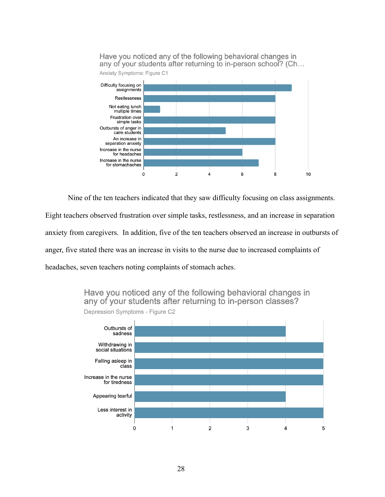

Nine of the ten teachers indicated that they saw difficulty focusing on class assignments.

Eight teachers observed frustration over simple tasks, restlessness, and an increase in separation anxiety from caregivers. In addition, five of the ten teachers observed an increase in outbursts of anger, five stated there was an increase in visits to the nurse due to increased complaints of headaches, seven teachers noting complaints of stomach aches.

> Have you noticed any of the following behavioral changes in any of your students after returning to in-person classes?



Depression Symptoms - Figure C2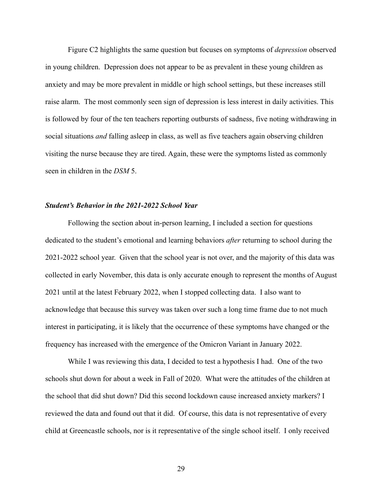Figure C2 highlights the same question but focuses on symptoms of *depression* observed in young children. Depression does not appear to be as prevalent in these young children as anxiety and may be more prevalent in middle or high school settings, but these increases still raise alarm. The most commonly seen sign of depression is less interest in daily activities. This is followed by four of the ten teachers reporting outbursts of sadness, five noting withdrawing in social situations *and* falling asleep in class, as well as five teachers again observing children visiting the nurse because they are tired. Again, these were the symptoms listed as commonly seen in children in the *DSM* 5.

#### *Student's Behavior in the 2021-2022 School Year*

Following the section about in-person learning, I included a section for questions dedicated to the student's emotional and learning behaviors *after* returning to school during the 2021-2022 school year. Given that the school year is not over, and the majority of this data was collected in early November, this data is only accurate enough to represent the months of August 2021 until at the latest February 2022, when I stopped collecting data. I also want to acknowledge that because this survey was taken over such a long time frame due to not much interest in participating, it is likely that the occurrence of these symptoms have changed or the frequency has increased with the emergence of the Omicron Variant in January 2022.

While I was reviewing this data, I decided to test a hypothesis I had. One of the two schools shut down for about a week in Fall of 2020. What were the attitudes of the children at the school that did shut down? Did this second lockdown cause increased anxiety markers? I reviewed the data and found out that it did. Of course, this data is not representative of every child at Greencastle schools, nor is it representative of the single school itself. I only received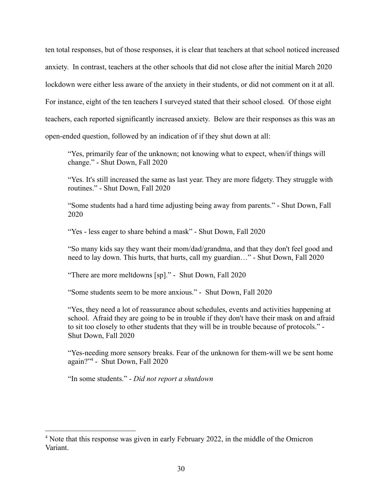ten total responses, but of those responses, it is clear that teachers at that school noticed increased anxiety. In contrast, teachers at the other schools that did not close after the initial March 2020 lockdown were either less aware of the anxiety in their students, or did not comment on it at all. For instance, eight of the ten teachers I surveyed stated that their school closed. Of those eight teachers, each reported significantly increased anxiety. Below are their responses as this was an open-ended question, followed by an indication of if they shut down at all:

"Yes, primarily fear of the unknown; not knowing what to expect, when/if things will change." - Shut Down, Fall 2020

"Yes. It's still increased the same as last year. They are more fidgety. They struggle with routines." - Shut Down, Fall 2020

"Some students had a hard time adjusting being away from parents." - Shut Down, Fall 2020

"Yes - less eager to share behind a mask" - Shut Down, Fall 2020

"So many kids say they want their mom/dad/grandma, and that they don't feel good and need to lay down. This hurts, that hurts, call my guardian…" - Shut Down, Fall 2020

"There are more meltdowns [sp]." - Shut Down, Fall 2020

"Some students seem to be more anxious." - Shut Down, Fall 2020

"Yes, they need a lot of reassurance about schedules, events and activities happening at school. Afraid they are going to be in trouble if they don't have their mask on and afraid to sit too closely to other students that they will be in trouble because of protocols." - Shut Down, Fall 2020

"Yes-needing more sensory breaks. Fear of the unknown for them-will we be sent home again?"<sup>4</sup> - Shut Down, Fall 2020

"In some students." - *Did not report a shutdown*

<sup>&</sup>lt;sup>4</sup> Note that this response was given in early February 2022, in the middle of the Omicron Variant.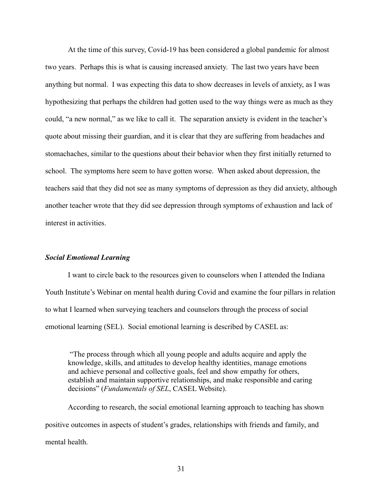At the time of this survey, Covid-19 has been considered a global pandemic for almost two years. Perhaps this is what is causing increased anxiety. The last two years have been anything but normal. I was expecting this data to show decreases in levels of anxiety, as I was hypothesizing that perhaps the children had gotten used to the way things were as much as they could, "a new normal," as we like to call it. The separation anxiety is evident in the teacher's quote about missing their guardian, and it is clear that they are suffering from headaches and stomachaches, similar to the questions about their behavior when they first initially returned to school. The symptoms here seem to have gotten worse. When asked about depression, the teachers said that they did not see as many symptoms of depression as they did anxiety, although another teacher wrote that they did see depression through symptoms of exhaustion and lack of interest in activities.

#### *Social Emotional Learning*

I want to circle back to the resources given to counselors when I attended the Indiana Youth Institute's Webinar on mental health during Covid and examine the four pillars in relation to what I learned when surveying teachers and counselors through the process of social emotional learning (SEL). Social emotional learning is described by CASEL as:

"The process through which all young people and adults acquire and apply the knowledge, skills, and attitudes to develop healthy identities, manage emotions and achieve personal and collective goals, feel and show empathy for others, establish and maintain supportive relationships, and make responsible and caring decisions" (*Fundamentals of SEL*, CASEL Website).

According to research, the social emotional learning approach to teaching has shown positive outcomes in aspects of student's grades, relationships with friends and family, and mental health.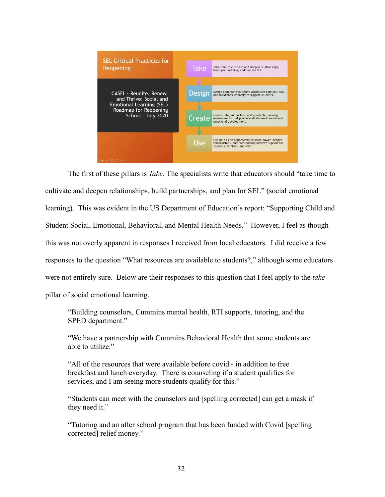

The first of these pillars is *Take.* The specialists write that educators should "take time to cultivate and deepen relationships, build partnerships, and plan for SEL" (social emotional learning). This was evident in the US Department of Education's report: "Supporting Child and Student Social, Emotional, Behavioral, and Mental Health Needs." However, I feel as though this was not overly apparent in responses I received from local educators. I did receive a few responses to the question "What resources are available to students?," although some educators were not entirely sure. Below are their responses to this question that I feel apply to the *take* pillar of social emotional learning.

"Building counselors, Cummins mental health, RTI supports, tutoring, and the SPED department."

"We have a partnership with Cummins Behavioral Health that some students are able to utilize."

"All of the resources that were available before covid - in addition to free breakfast and lunch everyday. There is counseling if a student qualifies for services, and I am seeing more students qualify for this."

"Students can meet with the counselors and [spelling corrected] can get a mask if they need it."

"Tutoring and an after school program that has been funded with Covid [spelling corrected] relief money."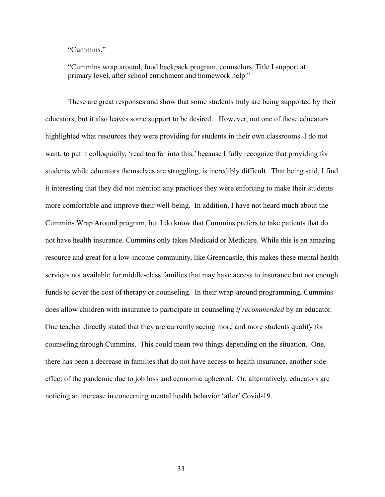"Cummins."

"Cummins wrap around, food backpack program, counselors, Title I support at primary level, after school enrichment and homework help."

These are great responses and show that some students truly are being supported by their educators, but it also leaves some support to be desired. However, not one of these educators highlighted what resources they were providing for students in their own classrooms. I do not want, to put it colloquially, 'read too far into this,' because I fully recognize that providing for students while educators themselves are struggling, is incredibly difficult. That being said, I find it interesting that they did not mention any practices they were enforcing to make their students more comfortable and improve their well-being. In addition, I have not heard much about the Cummins Wrap Around program, but I do know that Cummins prefers to take patients that do not have health insurance. Cummins only takes Medicaid or Medicare. While this is an amazing resource and great for a low-income community, like Greencastle, this makes these mental health services not available for middle-class families that may have access to insurance but not enough funds to cover the cost of therapy or counseling. In their wrap-around programming, Cummins does allow children with insurance to participate in counseling *if recommended* by an educator. One teacher directly stated that they are currently seeing more and more students qualify for counseling through Cummins. This could mean two things depending on the situation. One, there has been a decrease in families that do not have access to health insurance, another side effect of the pandemic due to job loss and economic upheaval. Or, alternatively, educators are noticing an increase in concerning mental health behavior 'after' Covid-19.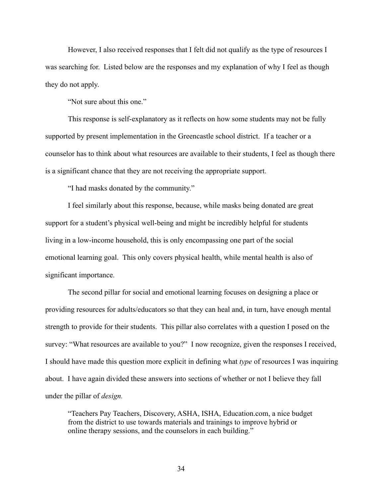However, I also received responses that I felt did not qualify as the type of resources I was searching for. Listed below are the responses and my explanation of why I feel as though they do not apply.

"Not sure about this one."

This response is self-explanatory as it reflects on how some students may not be fully supported by present implementation in the Greencastle school district. If a teacher or a counselor has to think about what resources are available to their students, I feel as though there is a significant chance that they are not receiving the appropriate support.

"I had masks donated by the community."

I feel similarly about this response, because, while masks being donated are great support for a student's physical well-being and might be incredibly helpful for students living in a low-income household, this is only encompassing one part of the social emotional learning goal. This only covers physical health, while mental health is also of significant importance.

The second pillar for social and emotional learning focuses on designing a place or providing resources for adults/educators so that they can heal and, in turn, have enough mental strength to provide for their students. This pillar also correlates with a question I posed on the survey: "What resources are available to you?" I now recognize, given the responses I received, I should have made this question more explicit in defining what *type* of resources I was inquiring about. I have again divided these answers into sections of whether or not I believe they fall under the pillar of *design.*

"Teachers Pay Teachers, Discovery, ASHA, ISHA, Education.com, a nice budget from the district to use towards materials and trainings to improve hybrid or online therapy sessions, and the counselors in each building."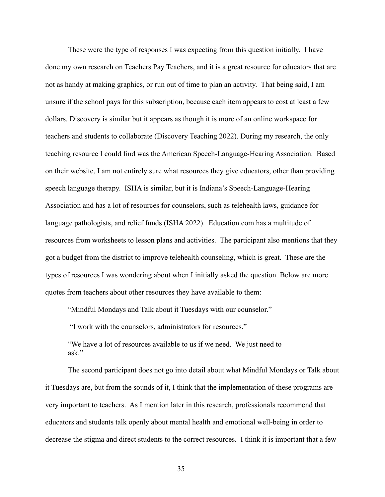These were the type of responses I was expecting from this question initially. I have done my own research on Teachers Pay Teachers, and it is a great resource for educators that are not as handy at making graphics, or run out of time to plan an activity. That being said, I am unsure if the school pays for this subscription, because each item appears to cost at least a few dollars. Discovery is similar but it appears as though it is more of an online workspace for teachers and students to collaborate (Discovery Teaching 2022). During my research, the only teaching resource I could find was the American Speech-Language-Hearing Association. Based on their website, I am not entirely sure what resources they give educators, other than providing speech language therapy. ISHA is similar, but it is Indiana's Speech-Language-Hearing Association and has a lot of resources for counselors, such as telehealth laws, guidance for language pathologists, and relief funds (ISHA 2022). Education.com has a multitude of resources from worksheets to lesson plans and activities. The participant also mentions that they got a budget from the district to improve telehealth counseling, which is great. These are the types of resources I was wondering about when I initially asked the question. Below are more quotes from teachers about other resources they have available to them:

"Mindful Mondays and Talk about it Tuesdays with our counselor."

"I work with the counselors, administrators for resources."

"We have a lot of resources available to us if we need. We just need to ask."

The second participant does not go into detail about what Mindful Mondays or Talk about it Tuesdays are, but from the sounds of it, I think that the implementation of these programs are very important to teachers. As I mention later in this research, professionals recommend that educators and students talk openly about mental health and emotional well-being in order to decrease the stigma and direct students to the correct resources. I think it is important that a few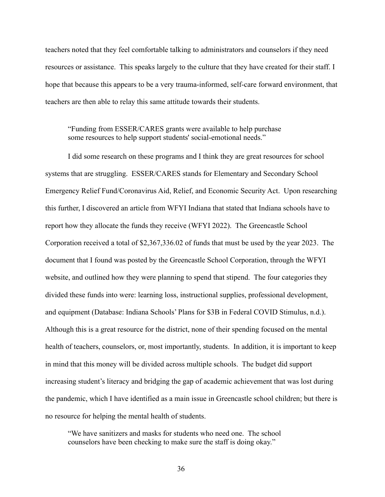teachers noted that they feel comfortable talking to administrators and counselors if they need resources or assistance. This speaks largely to the culture that they have created for their staff. I hope that because this appears to be a very trauma-informed, self-care forward environment, that teachers are then able to relay this same attitude towards their students.

## "Funding from ESSER/CARES grants were available to help purchase some resources to help support students' social-emotional needs."

I did some research on these programs and I think they are great resources for school systems that are struggling. ESSER/CARES stands for Elementary and Secondary School Emergency Relief Fund/Coronavirus Aid, Relief, and Economic Security Act. Upon researching this further, I discovered an article from WFYI Indiana that stated that Indiana schools have to report how they allocate the funds they receive (WFYI 2022). The Greencastle School Corporation received a total of \$2,367,336.02 of funds that must be used by the year 2023. The document that I found was posted by the Greencastle School Corporation, through the WFYI website, and outlined how they were planning to spend that stipend. The four categories they divided these funds into were: learning loss, instructional supplies, professional development, and equipment (Database: Indiana Schools' Plans for \$3B in Federal COVID Stimulus, n.d.). Although this is a great resource for the district, none of their spending focused on the mental health of teachers, counselors, or, most importantly, students. In addition, it is important to keep in mind that this money will be divided across multiple schools. The budget did support increasing student's literacy and bridging the gap of academic achievement that was lost during the pandemic, which I have identified as a main issue in Greencastle school children; but there is no resource for helping the mental health of students.

"We have sanitizers and masks for students who need one. The school counselors have been checking to make sure the staff is doing okay."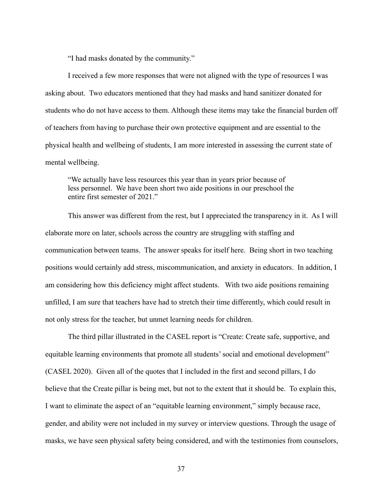"I had masks donated by the community."

I received a few more responses that were not aligned with the type of resources I was asking about. Two educators mentioned that they had masks and hand sanitizer donated for students who do not have access to them. Although these items may take the financial burden off of teachers from having to purchase their own protective equipment and are essential to the physical health and wellbeing of students, I am more interested in assessing the current state of mental wellbeing.

"We actually have less resources this year than in years prior because of less personnel. We have been short two aide positions in our preschool the entire first semester of 2021."

This answer was different from the rest, but I appreciated the transparency in it. As I will elaborate more on later, schools across the country are struggling with staffing and communication between teams. The answer speaks for itself here. Being short in two teaching positions would certainly add stress, miscommunication, and anxiety in educators. In addition, I am considering how this deficiency might affect students. With two aide positions remaining unfilled, I am sure that teachers have had to stretch their time differently, which could result in not only stress for the teacher, but unmet learning needs for children.

The third pillar illustrated in the CASEL report is "Create: Create safe, supportive, and equitable learning environments that promote all students' social and emotional development" (CASEL 2020). Given all of the quotes that I included in the first and second pillars, I do believe that the Create pillar is being met, but not to the extent that it should be. To explain this, I want to eliminate the aspect of an "equitable learning environment," simply because race, gender, and ability were not included in my survey or interview questions. Through the usage of masks, we have seen physical safety being considered, and with the testimonies from counselors,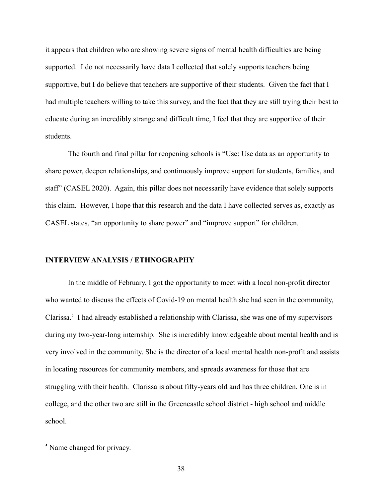it appears that children who are showing severe signs of mental health difficulties are being supported. I do not necessarily have data I collected that solely supports teachers being supportive, but I do believe that teachers are supportive of their students. Given the fact that I had multiple teachers willing to take this survey, and the fact that they are still trying their best to educate during an incredibly strange and difficult time, I feel that they are supportive of their students.

The fourth and final pillar for reopening schools is "Use: Use data as an opportunity to share power, deepen relationships, and continuously improve support for students, families, and staff" (CASEL 2020). Again, this pillar does not necessarily have evidence that solely supports this claim. However, I hope that this research and the data I have collected serves as, exactly as CASEL states, "an opportunity to share power" and "improve support" for children.

#### **INTERVIEW ANALYSIS / ETHNOGRAPHY**

In the middle of February, I got the opportunity to meet with a local non-profit director who wanted to discuss the effects of Covid-19 on mental health she had seen in the community, Clarissa.<sup>5</sup> I had already established a relationship with Clarissa, she was one of my supervisors during my two-year-long internship. She is incredibly knowledgeable about mental health and is very involved in the community. She is the director of a local mental health non-profit and assists in locating resources for community members, and spreads awareness for those that are struggling with their health. Clarissa is about fifty-years old and has three children. One is in college, and the other two are still in the Greencastle school district - high school and middle school.

<sup>&</sup>lt;sup>5</sup> Name changed for privacy.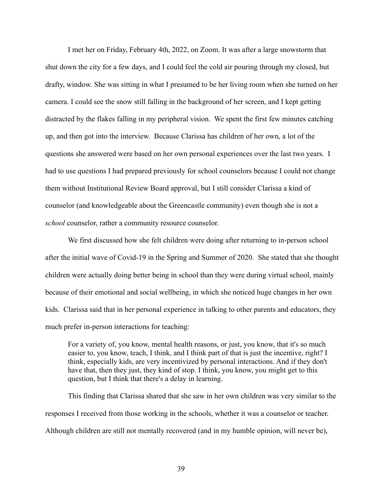I met her on Friday, February 4th, 2022, on Zoom. It was after a large snowstorm that shut down the city for a few days, and I could feel the cold air pouring through my closed, but drafty, window. She was sitting in what I presumed to be her living room when she turned on her camera. I could see the snow still falling in the background of her screen, and I kept getting distracted by the flakes falling in my peripheral vision. We spent the first few minutes catching up, and then got into the interview. Because Clarissa has children of her own, a lot of the questions she answered were based on her own personal experiences over the last two years. I had to use questions I had prepared previously for school counselors because I could not change them without Institutional Review Board approval, but I still consider Clarissa a kind of counselor (and knowledgeable about the Greencastle community) even though she is not a *school* counselor, rather a community resource counselor.

We first discussed how she felt children were doing after returning to in-person school after the initial wave of Covid-19 in the Spring and Summer of 2020. She stated that she thought children were actually doing better being in school than they were during virtual school, mainly because of their emotional and social wellbeing, in which she noticed huge changes in her own kids. Clarissa said that in her personal experience in talking to other parents and educators, they much prefer in-person interactions for teaching:

For a variety of, you know, mental health reasons, or just, you know, that it's so much easier to, you know, teach, I think, and I think part of that is just the incentive, right? I think, especially kids, are very incentivized by personal interactions. And if they don't have that, then they just, they kind of stop. I think, you know, you might get to this question, but I think that there's a delay in learning.

This finding that Clarissa shared that she saw in her own children was very similar to the responses I received from those working in the schools, whether it was a counselor or teacher. Although children are still not mentally recovered (and in my humble opinion, will never be),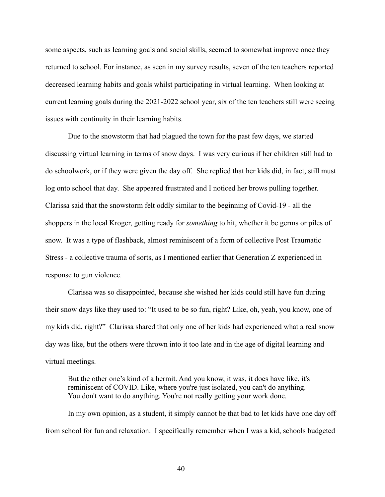some aspects, such as learning goals and social skills, seemed to somewhat improve once they returned to school. For instance, as seen in my survey results, seven of the ten teachers reported decreased learning habits and goals whilst participating in virtual learning. When looking at current learning goals during the 2021-2022 school year, six of the ten teachers still were seeing issues with continuity in their learning habits.

Due to the snowstorm that had plagued the town for the past few days, we started discussing virtual learning in terms of snow days. I was very curious if her children still had to do schoolwork, or if they were given the day off. She replied that her kids did, in fact, still must log onto school that day. She appeared frustrated and I noticed her brows pulling together. Clarissa said that the snowstorm felt oddly similar to the beginning of Covid-19 - all the shoppers in the local Kroger, getting ready for *something* to hit, whether it be germs or piles of snow. It was a type of flashback, almost reminiscent of a form of collective Post Traumatic Stress - a collective trauma of sorts, as I mentioned earlier that Generation Z experienced in response to gun violence.

Clarissa was so disappointed, because she wished her kids could still have fun during their snow days like they used to: "It used to be so fun, right? Like, oh, yeah, you know, one of my kids did, right?" Clarissa shared that only one of her kids had experienced what a real snow day was like, but the others were thrown into it too late and in the age of digital learning and virtual meetings.

But the other one's kind of a hermit. And you know, it was, it does have like, it's reminiscent of COVID. Like, where you're just isolated, you can't do anything. You don't want to do anything. You're not really getting your work done.

In my own opinion, as a student, it simply cannot be that bad to let kids have one day off from school for fun and relaxation. I specifically remember when I was a kid, schools budgeted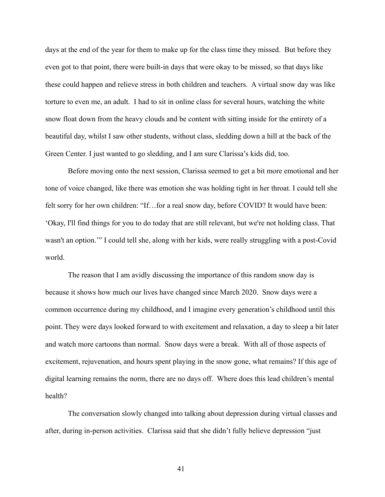days at the end of the year for them to make up for the class time they missed. But before they even got to that point, there were built-in days that were okay to be missed, so that days like these could happen and relieve stress in both children and teachers. A virtual snow day was like torture to even me, an adult. I had to sit in online class for several hours, watching the white snow float down from the heavy clouds and be content with sitting inside for the entirety of a beautiful day, whilst I saw other students, without class, sledding down a hill at the back of the Green Center. I just wanted to go sledding, and I am sure Clarissa's kids did, too.

Before moving onto the next session, Clarissa seemed to get a bit more emotional and her tone of voice changed, like there was emotion she was holding tight in her throat. I could tell she felt sorry for her own children: "If...for a real snow day, before COVID? It would have been: 'Okay, I'll find things for you to do today that are still relevant, but we're not holding class. That wasn't an option.'" I could tell she, along with her kids, were really struggling with a post-Covid world.

The reason that I am avidly discussing the importance of this random snow day is because it shows how much our lives have changed since March 2020. Snow days were a common occurrence during my childhood, and I imagine every generation's childhood until this point. They were days looked forward to with excitement and relaxation, a day to sleep a bit later and watch more cartoons than normal. Snow days were a break. With all of those aspects of excitement, rejuvenation, and hours spent playing in the snow gone, what remains? If this age of digital learning remains the norm, there are no days off. Where does this lead children's mental health?

The conversation slowly changed into talking about depression during virtual classes and after, during in-person activities. Clarissa said that she didn't fully believe depression "just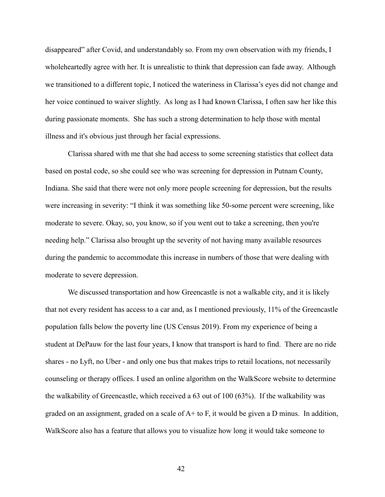disappeared" after Covid, and understandably so. From my own observation with my friends, I wholeheartedly agree with her. It is unrealistic to think that depression can fade away. Although we transitioned to a different topic, I noticed the wateriness in Clarissa's eyes did not change and her voice continued to waiver slightly. As long as I had known Clarissa, I often saw her like this during passionate moments. She has such a strong determination to help those with mental illness and it's obvious just through her facial expressions.

Clarissa shared with me that she had access to some screening statistics that collect data based on postal code, so she could see who was screening for depression in Putnam County, Indiana. She said that there were not only more people screening for depression, but the results were increasing in severity: "I think it was something like 50-some percent were screening, like moderate to severe. Okay, so, you know, so if you went out to take a screening, then you're needing help." Clarissa also brought up the severity of not having many available resources during the pandemic to accommodate this increase in numbers of those that were dealing with moderate to severe depression.

We discussed transportation and how Greencastle is not a walkable city, and it is likely that not every resident has access to a car and, as I mentioned previously, 11% of the Greencastle population falls below the poverty line (US Census 2019). From my experience of being a student at DePauw for the last four years, I know that transport is hard to find. There are no ride shares - no Lyft, no Uber - and only one bus that makes trips to retail locations, not necessarily counseling or therapy offices. I used an online algorithm on the WalkScore website to determine the walkability of Greencastle, which received a 63 out of 100 (63%). If the walkability was graded on an assignment, graded on a scale of A+ to F, it would be given a D minus. In addition, WalkScore also has a feature that allows you to visualize how long it would take someone to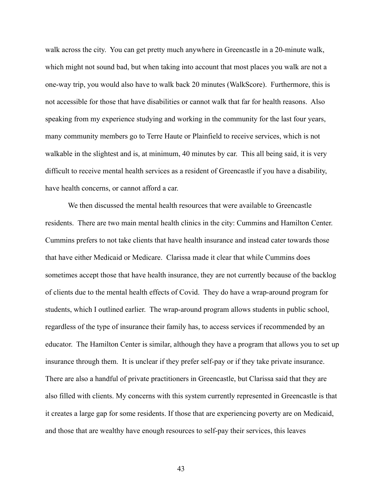walk across the city. You can get pretty much anywhere in Greencastle in a 20-minute walk, which might not sound bad, but when taking into account that most places you walk are not a one-way trip, you would also have to walk back 20 minutes (WalkScore). Furthermore, this is not accessible for those that have disabilities or cannot walk that far for health reasons. Also speaking from my experience studying and working in the community for the last four years, many community members go to Terre Haute or Plainfield to receive services, which is not walkable in the slightest and is, at minimum, 40 minutes by car. This all being said, it is very difficult to receive mental health services as a resident of Greencastle if you have a disability, have health concerns, or cannot afford a car.

We then discussed the mental health resources that were available to Greencastle residents. There are two main mental health clinics in the city: Cummins and Hamilton Center. Cummins prefers to not take clients that have health insurance and instead cater towards those that have either Medicaid or Medicare. Clarissa made it clear that while Cummins does sometimes accept those that have health insurance, they are not currently because of the backlog of clients due to the mental health effects of Covid. They do have a wrap-around program for students, which I outlined earlier. The wrap-around program allows students in public school, regardless of the type of insurance their family has, to access services if recommended by an educator. The Hamilton Center is similar, although they have a program that allows you to set up insurance through them. It is unclear if they prefer self-pay or if they take private insurance. There are also a handful of private practitioners in Greencastle, but Clarissa said that they are also filled with clients. My concerns with this system currently represented in Greencastle is that it creates a large gap for some residents. If those that are experiencing poverty are on Medicaid, and those that are wealthy have enough resources to self-pay their services, this leaves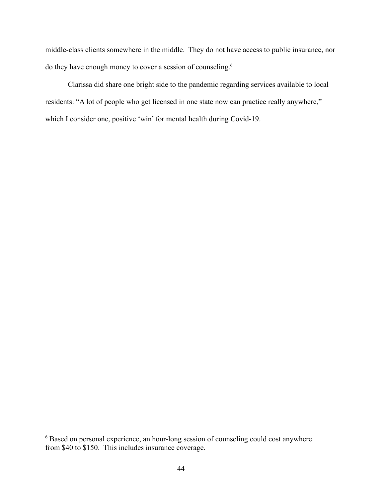middle-class clients somewhere in the middle. They do not have access to public insurance, nor do they have enough money to cover a session of counseling.<sup>6</sup>

Clarissa did share one bright side to the pandemic regarding services available to local residents: "A lot of people who get licensed in one state now can practice really anywhere," which I consider one, positive 'win' for mental health during Covid-19.

<sup>6</sup> Based on personal experience, an hour-long session of counseling could cost anywhere from \$40 to \$150. This includes insurance coverage.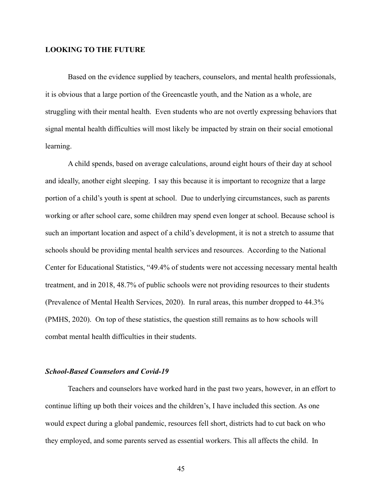#### **LOOKING TO THE FUTURE**

Based on the evidence supplied by teachers, counselors, and mental health professionals, it is obvious that a large portion of the Greencastle youth, and the Nation as a whole, are struggling with their mental health. Even students who are not overtly expressing behaviors that signal mental health difficulties will most likely be impacted by strain on their social emotional learning.

A child spends, based on average calculations, around eight hours of their day at school and ideally, another eight sleeping. I say this because it is important to recognize that a large portion of a child's youth is spent at school. Due to underlying circumstances, such as parents working or after school care, some children may spend even longer at school. Because school is such an important location and aspect of a child's development, it is not a stretch to assume that schools should be providing mental health services and resources. According to the National Center for Educational Statistics, "49.4% of students were not accessing necessary mental health treatment, and in 2018, 48.7% of public schools were not providing resources to their students (Prevalence of Mental Health Services, 2020). In rural areas, this number dropped to 44.3% (PMHS, 2020). On top of these statistics, the question still remains as to how schools will combat mental health difficulties in their students.

#### *School-Based Counselors and Covid-19*

Teachers and counselors have worked hard in the past two years, however, in an effort to continue lifting up both their voices and the children's, I have included this section. As one would expect during a global pandemic, resources fell short, districts had to cut back on who they employed, and some parents served as essential workers. This all affects the child. In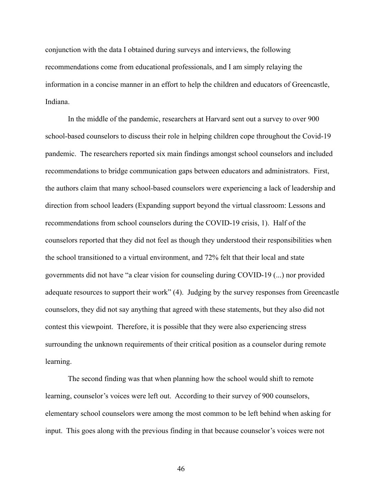conjunction with the data I obtained during surveys and interviews, the following recommendations come from educational professionals, and I am simply relaying the information in a concise manner in an effort to help the children and educators of Greencastle, Indiana.

In the middle of the pandemic, researchers at Harvard sent out a survey to over 900 school-based counselors to discuss their role in helping children cope throughout the Covid-19 pandemic. The researchers reported six main findings amongst school counselors and included recommendations to bridge communication gaps between educators and administrators. First, the authors claim that many school-based counselors were experiencing a lack of leadership and direction from school leaders (Expanding support beyond the virtual classroom: Lessons and recommendations from school counselors during the COVID-19 crisis, 1). Half of the counselors reported that they did not feel as though they understood their responsibilities when the school transitioned to a virtual environment, and 72% felt that their local and state governments did not have "a clear vision for counseling during COVID-19 (...) nor provided adequate resources to support their work" (4). Judging by the survey responses from Greencastle counselors, they did not say anything that agreed with these statements, but they also did not contest this viewpoint. Therefore, it is possible that they were also experiencing stress surrounding the unknown requirements of their critical position as a counselor during remote learning.

The second finding was that when planning how the school would shift to remote learning, counselor's voices were left out. According to their survey of 900 counselors, elementary school counselors were among the most common to be left behind when asking for input. This goes along with the previous finding in that because counselor's voices were not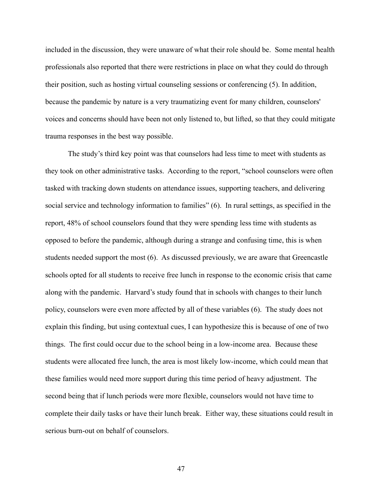included in the discussion, they were unaware of what their role should be. Some mental health professionals also reported that there were restrictions in place on what they could do through their position, such as hosting virtual counseling sessions or conferencing (5). In addition, because the pandemic by nature is a very traumatizing event for many children, counselors' voices and concerns should have been not only listened to, but lifted, so that they could mitigate trauma responses in the best way possible.

The study's third key point was that counselors had less time to meet with students as they took on other administrative tasks. According to the report, "school counselors were often tasked with tracking down students on attendance issues, supporting teachers, and delivering social service and technology information to families" (6). In rural settings, as specified in the report, 48% of school counselors found that they were spending less time with students as opposed to before the pandemic, although during a strange and confusing time, this is when students needed support the most (6). As discussed previously, we are aware that Greencastle schools opted for all students to receive free lunch in response to the economic crisis that came along with the pandemic. Harvard's study found that in schools with changes to their lunch policy, counselors were even more affected by all of these variables (6). The study does not explain this finding, but using contextual cues, I can hypothesize this is because of one of two things. The first could occur due to the school being in a low-income area. Because these students were allocated free lunch, the area is most likely low-income, which could mean that these families would need more support during this time period of heavy adjustment. The second being that if lunch periods were more flexible, counselors would not have time to complete their daily tasks or have their lunch break. Either way, these situations could result in serious burn-out on behalf of counselors.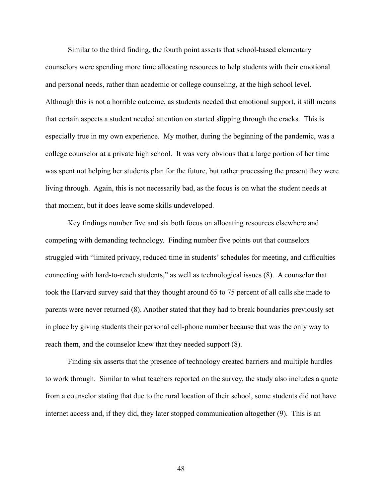Similar to the third finding, the fourth point asserts that school-based elementary counselors were spending more time allocating resources to help students with their emotional and personal needs, rather than academic or college counseling, at the high school level. Although this is not a horrible outcome, as students needed that emotional support, it still means that certain aspects a student needed attention on started slipping through the cracks. This is especially true in my own experience. My mother, during the beginning of the pandemic, was a college counselor at a private high school. It was very obvious that a large portion of her time was spent not helping her students plan for the future, but rather processing the present they were living through. Again, this is not necessarily bad, as the focus is on what the student needs at that moment, but it does leave some skills undeveloped.

Key findings number five and six both focus on allocating resources elsewhere and competing with demanding technology. Finding number five points out that counselors struggled with "limited privacy, reduced time in students' schedules for meeting, and difficulties connecting with hard-to-reach students," as well as technological issues (8). A counselor that took the Harvard survey said that they thought around 65 to 75 percent of all calls she made to parents were never returned (8). Another stated that they had to break boundaries previously set in place by giving students their personal cell-phone number because that was the only way to reach them, and the counselor knew that they needed support (8).

Finding six asserts that the presence of technology created barriers and multiple hurdles to work through. Similar to what teachers reported on the survey, the study also includes a quote from a counselor stating that due to the rural location of their school, some students did not have internet access and, if they did, they later stopped communication altogether (9). This is an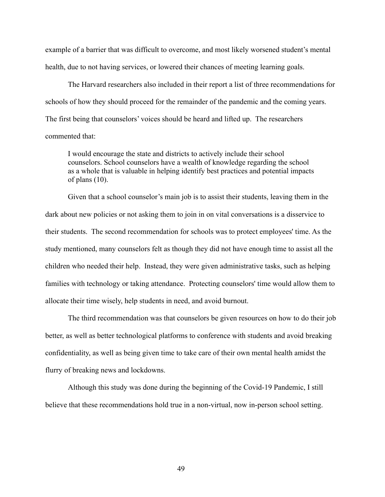example of a barrier that was difficult to overcome, and most likely worsened student's mental health, due to not having services, or lowered their chances of meeting learning goals.

The Harvard researchers also included in their report a list of three recommendations for schools of how they should proceed for the remainder of the pandemic and the coming years. The first being that counselors' voices should be heard and lifted up. The researchers commented that:

I would encourage the state and districts to actively include their school counselors. School counselors have a wealth of knowledge regarding the school as a whole that is valuable in helping identify best practices and potential impacts of plans (10).

Given that a school counselor's main job is to assist their students, leaving them in the dark about new policies or not asking them to join in on vital conversations is a disservice to their students. The second recommendation for schools was to protect employees' time. As the study mentioned, many counselors felt as though they did not have enough time to assist all the children who needed their help. Instead, they were given administrative tasks, such as helping families with technology or taking attendance. Protecting counselors' time would allow them to allocate their time wisely, help students in need, and avoid burnout.

The third recommendation was that counselors be given resources on how to do their job better, as well as better technological platforms to conference with students and avoid breaking confidentiality, as well as being given time to take care of their own mental health amidst the flurry of breaking news and lockdowns.

Although this study was done during the beginning of the Covid-19 Pandemic, I still believe that these recommendations hold true in a non-virtual, now in-person school setting.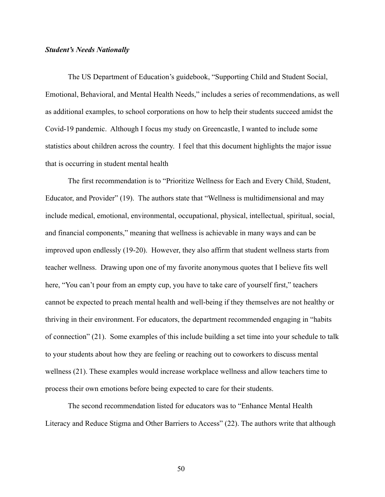#### *Student's Needs Nationally*

The US Department of Education's guidebook, "Supporting Child and Student Social, Emotional, Behavioral, and Mental Health Needs," includes a series of recommendations, as well as additional examples, to school corporations on how to help their students succeed amidst the Covid-19 pandemic. Although I focus my study on Greencastle, I wanted to include some statistics about children across the country. I feel that this document highlights the major issue that is occurring in student mental health

The first recommendation is to "Prioritize Wellness for Each and Every Child, Student, Educator, and Provider" (19). The authors state that "Wellness is multidimensional and may include medical, emotional, environmental, occupational, physical, intellectual, spiritual, social, and financial components," meaning that wellness is achievable in many ways and can be improved upon endlessly (19-20). However, they also affirm that student wellness starts from teacher wellness. Drawing upon one of my favorite anonymous quotes that I believe fits well here, "You can't pour from an empty cup, you have to take care of yourself first," teachers cannot be expected to preach mental health and well-being if they themselves are not healthy or thriving in their environment. For educators, the department recommended engaging in "habits of connection" (21). Some examples of this include building a set time into your schedule to talk to your students about how they are feeling or reaching out to coworkers to discuss mental wellness (21). These examples would increase workplace wellness and allow teachers time to process their own emotions before being expected to care for their students.

The second recommendation listed for educators was to "Enhance Mental Health Literacy and Reduce Stigma and Other Barriers to Access" (22). The authors write that although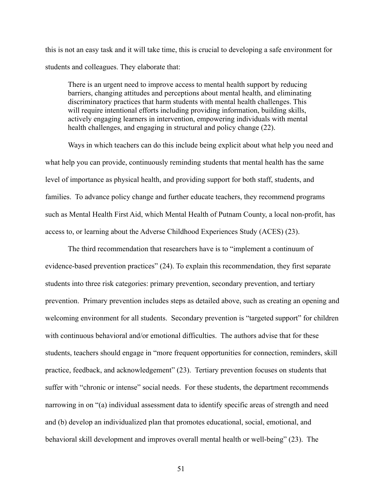this is not an easy task and it will take time, this is crucial to developing a safe environment for students and colleagues. They elaborate that:

There is an urgent need to improve access to mental health support by reducing barriers, changing attitudes and perceptions about mental health, and eliminating discriminatory practices that harm students with mental health challenges. This will require intentional efforts including providing information, building skills, actively engaging learners in intervention, empowering individuals with mental health challenges, and engaging in structural and policy change (22).

Ways in which teachers can do this include being explicit about what help you need and what help you can provide, continuously reminding students that mental health has the same level of importance as physical health, and providing support for both staff, students, and families. To advance policy change and further educate teachers, they recommend programs such as Mental Health First Aid, which Mental Health of Putnam County, a local non-profit, has access to, or learning about the Adverse Childhood Experiences Study (ACES) (23).

The third recommendation that researchers have is to "implement a continuum of evidence-based prevention practices" (24). To explain this recommendation, they first separate students into three risk categories: primary prevention, secondary prevention, and tertiary prevention. Primary prevention includes steps as detailed above, such as creating an opening and welcoming environment for all students. Secondary prevention is "targeted support" for children with continuous behavioral and/or emotional difficulties. The authors advise that for these students, teachers should engage in "more frequent opportunities for connection, reminders, skill practice, feedback, and acknowledgement" (23). Tertiary prevention focuses on students that suffer with "chronic or intense" social needs. For these students, the department recommends narrowing in on "(a) individual assessment data to identify specific areas of strength and need and (b) develop an individualized plan that promotes educational, social, emotional, and behavioral skill development and improves overall mental health or well-being" (23). The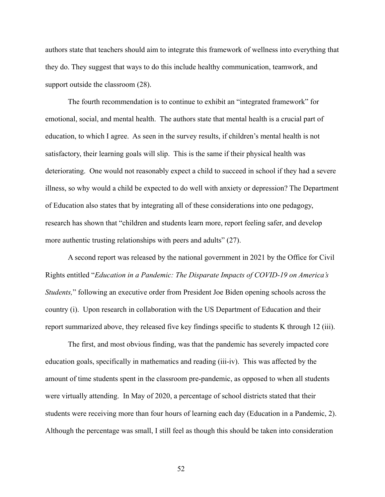authors state that teachers should aim to integrate this framework of wellness into everything that they do. They suggest that ways to do this include healthy communication, teamwork, and support outside the classroom (28).

The fourth recommendation is to continue to exhibit an "integrated framework" for emotional, social, and mental health. The authors state that mental health is a crucial part of education, to which I agree. As seen in the survey results, if children's mental health is not satisfactory, their learning goals will slip. This is the same if their physical health was deteriorating. One would not reasonably expect a child to succeed in school if they had a severe illness, so why would a child be expected to do well with anxiety or depression? The Department of Education also states that by integrating all of these considerations into one pedagogy, research has shown that "children and students learn more, report feeling safer, and develop more authentic trusting relationships with peers and adults" (27).

A second report was released by the national government in 2021 by the Office for Civil Rights entitled "*Education in a Pandemic: The Disparate Impacts of COVID-19 on America's Students,*" following an executive order from President Joe Biden opening schools across the country (i). Upon research in collaboration with the US Department of Education and their report summarized above, they released five key findings specific to students K through 12 (iii).

The first, and most obvious finding, was that the pandemic has severely impacted core education goals, specifically in mathematics and reading (iii-iv). This was affected by the amount of time students spent in the classroom pre-pandemic, as opposed to when all students were virtually attending. In May of 2020, a percentage of school districts stated that their students were receiving more than four hours of learning each day (Education in a Pandemic, 2). Although the percentage was small, I still feel as though this should be taken into consideration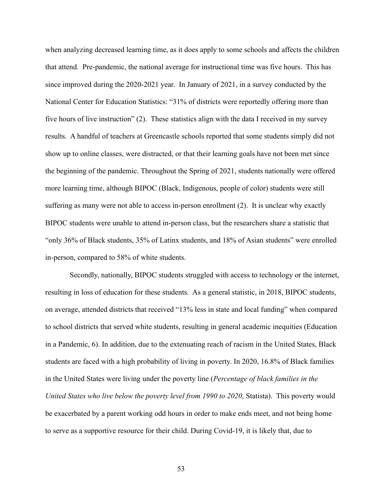when analyzing decreased learning time, as it does apply to some schools and affects the children that attend. Pre-pandemic, the national average for instructional time was five hours. This has since improved during the 2020-2021 year. In January of 2021, in a survey conducted by the National Center for Education Statistics: "31% of districts were reportedly offering more than five hours of live instruction" (2). These statistics align with the data I received in my survey results. A handful of teachers at Greencastle schools reported that some students simply did not show up to online classes, were distracted, or that their learning goals have not been met since the beginning of the pandemic. Throughout the Spring of 2021, students nationally were offered more learning time, although BIPOC (Black, Indigenous, people of color) students were still suffering as many were not able to access in-person enrollment (2). It is unclear why exactly BIPOC students were unable to attend in-person class, but the researchers share a statistic that "only 36% of Black students, 35% of Latinx students, and 18% of Asian students" were enrolled in-person, compared to 58% of white students.

Secondly, nationally, BIPOC students struggled with access to technology or the internet, resulting in loss of education for these students. As a general statistic, in 2018, BIPOC students, on average, attended districts that received "13% less in state and local funding" when compared to school districts that served white students, resulting in general academic inequities (Education in a Pandemic, 6). In addition, due to the extenuating reach of racism in the United States, Black students are faced with a high probability of living in poverty. In 2020, 16.8% of Black families in the United States were living under the poverty line (*Percentage of black families in the United States who live below the poverty level from 1990 to 2020*, Statista). This poverty would be exacerbated by a parent working odd hours in order to make ends meet, and not being home to serve as a supportive resource for their child. During Covid-19, it is likely that, due to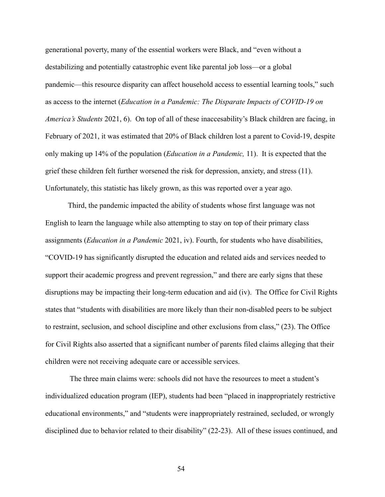generational poverty, many of the essential workers were Black, and "even without a destabilizing and potentially catastrophic event like parental job loss—or a global pandemic—this resource disparity can affect household access to essential learning tools," such as access to the internet (*Education in a Pandemic: The Disparate Impacts of COVID-19 on America's Students* 2021, 6). On top of all of these inaccesability's Black children are facing, in February of 2021, it was estimated that 20% of Black children lost a parent to Covid-19, despite only making up 14% of the population (*Education in a Pandemic,* 11). It is expected that the grief these children felt further worsened the risk for depression, anxiety, and stress (11). Unfortunately, this statistic has likely grown, as this was reported over a year ago.

Third, the pandemic impacted the ability of students whose first language was not English to learn the language while also attempting to stay on top of their primary class assignments (*Education in a Pandemic* 2021, iv). Fourth, for students who have disabilities, "COVID-19 has significantly disrupted the education and related aids and services needed to support their academic progress and prevent regression," and there are early signs that these disruptions may be impacting their long-term education and aid (iv). The Office for Civil Rights states that "students with disabilities are more likely than their non-disabled peers to be subject to restraint, seclusion, and school discipline and other exclusions from class," (23). The Office for Civil Rights also asserted that a significant number of parents filed claims alleging that their children were not receiving adequate care or accessible services.

The three main claims were: schools did not have the resources to meet a student's individualized education program (IEP), students had been "placed in inappropriately restrictive educational environments," and "students were inappropriately restrained, secluded, or wrongly disciplined due to behavior related to their disability" (22-23). All of these issues continued, and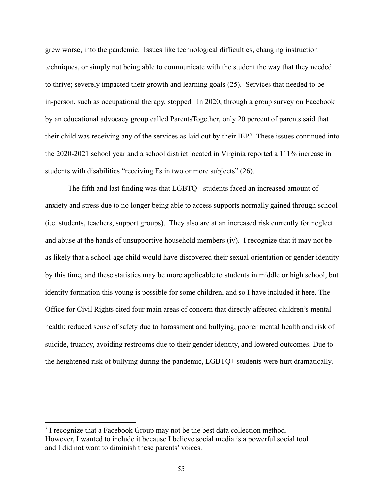grew worse, into the pandemic. Issues like technological difficulties, changing instruction techniques, or simply not being able to communicate with the student the way that they needed to thrive; severely impacted their growth and learning goals (25). Services that needed to be in-person, such as occupational therapy, stopped. In 2020, through a group survey on Facebook by an educational advocacy group called ParentsTogether, only 20 percent of parents said that their child was receiving any of the services as laid out by their IEP. <sup>7</sup> These issues continued into the 2020-2021 school year and a school district located in Virginia reported a 111% increase in students with disabilities "receiving Fs in two or more subjects" (26).

The fifth and last finding was that LGBTQ+ students faced an increased amount of anxiety and stress due to no longer being able to access supports normally gained through school (i.e. students, teachers, support groups). They also are at an increased risk currently for neglect and abuse at the hands of unsupportive household members (iv). I recognize that it may not be as likely that a school-age child would have discovered their sexual orientation or gender identity by this time, and these statistics may be more applicable to students in middle or high school, but identity formation this young is possible for some children, and so I have included it here. The Office for Civil Rights cited four main areas of concern that directly affected children's mental health: reduced sense of safety due to harassment and bullying, poorer mental health and risk of suicide, truancy, avoiding restrooms due to their gender identity, and lowered outcomes. Due to the heightened risk of bullying during the pandemic, LGBTQ+ students were hurt dramatically.

<sup>&</sup>lt;sup>7</sup> I recognize that a Facebook Group may not be the best data collection method. However, I wanted to include it because I believe social media is a powerful social tool and I did not want to diminish these parents' voices.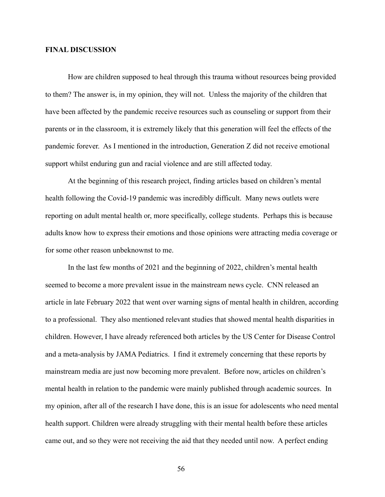#### **FINAL DISCUSSION**

How are children supposed to heal through this trauma without resources being provided to them? The answer is, in my opinion, they will not. Unless the majority of the children that have been affected by the pandemic receive resources such as counseling or support from their parents or in the classroom, it is extremely likely that this generation will feel the effects of the pandemic forever. As I mentioned in the introduction, Generation Z did not receive emotional support whilst enduring gun and racial violence and are still affected today.

At the beginning of this research project, finding articles based on children's mental health following the Covid-19 pandemic was incredibly difficult. Many news outlets were reporting on adult mental health or, more specifically, college students. Perhaps this is because adults know how to express their emotions and those opinions were attracting media coverage or for some other reason unbeknownst to me.

In the last few months of 2021 and the beginning of 2022, children's mental health seemed to become a more prevalent issue in the mainstream news cycle. CNN released an article in late February 2022 that went over warning signs of mental health in children, according to a professional. They also mentioned relevant studies that showed mental health disparities in children. However, I have already referenced both articles by the US Center for Disease Control and a meta-analysis by JAMA Pediatrics. I find it extremely concerning that these reports by mainstream media are just now becoming more prevalent. Before now, articles on children's mental health in relation to the pandemic were mainly published through academic sources. In my opinion, after all of the research I have done, this is an issue for adolescents who need mental health support. Children were already struggling with their mental health before these articles came out, and so they were not receiving the aid that they needed until now. A perfect ending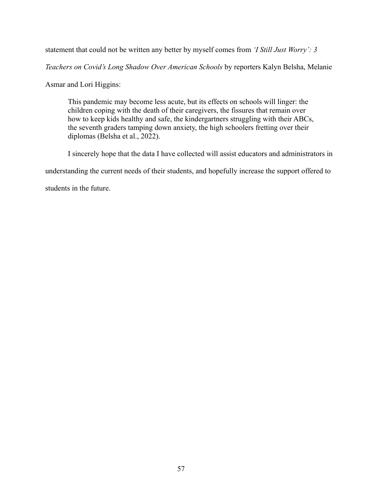statement that could not be written any better by myself comes from *'I Still Just Worry': 3*

*Teachers on Covid's Long Shadow Over American Schools* by reporters Kalyn Belsha, Melanie

Asmar and Lori Higgins:

This pandemic may become less acute, but its effects on schools will linger: the children coping with the death of their caregivers, the fissures that remain over how to keep kids healthy and safe, the kindergartners struggling with their ABCs, the seventh graders tamping down anxiety, the high schoolers fretting over their diplomas (Belsha et al., 2022).

I sincerely hope that the data I have collected will assist educators and administrators in

understanding the current needs of their students, and hopefully increase the support offered to

students in the future.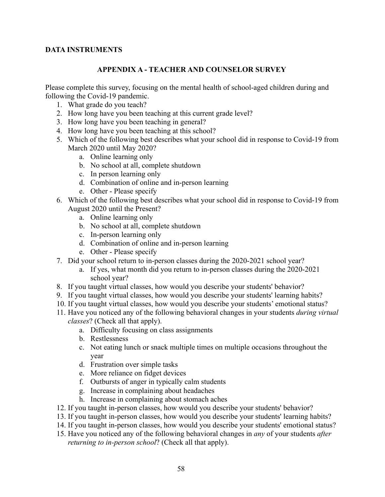## **DATA INSTRUMENTS**

## **APPENDIX A - TEACHER AND COUNSELOR SURVEY**

Please complete this survey, focusing on the mental health of school-aged children during and following the Covid-19 pandemic.

- 1. What grade do you teach?
- 2. How long have you been teaching at this current grade level?
- 3. How long have you been teaching in general?
- 4. How long have you been teaching at this school?
- 5. Which of the following best describes what your school did in response to Covid-19 from March 2020 until May 2020?
	- a. Online learning only
	- b. No school at all, complete shutdown
	- c. In person learning only
	- d. Combination of online and in-person learning
	- e. Other Please specify
- 6. Which of the following best describes what your school did in response to Covid-19 from August 2020 until the Present?
	- a. Online learning only
	- b. No school at all, complete shutdown
	- c. In-person learning only
	- d. Combination of online and in-person learning
	- e. Other Please specify
- 7. Did your school return to in-person classes during the 2020-2021 school year?
	- a. If yes, what month did you return to in-person classes during the 2020-2021 school year?
- 8. If you taught virtual classes, how would you describe your students' behavior?
- 9. If you taught virtual classes, how would you describe your students' learning habits?
- 10. If you taught virtual classes, how would you describe your students' emotional status?
- 11. Have you noticed any of the following behavioral changes in your students *during virtual classes*? (Check all that apply).
	- a. Difficulty focusing on class assignments
	- b. Restlessness
	- c. Not eating lunch or snack multiple times on multiple occasions throughout the year
	- d. Frustration over simple tasks
	- e. More reliance on fidget devices
	- f. Outbursts of anger in typically calm students
	- g. Increase in complaining about headaches
	- h. Increase in complaining about stomach aches
- 12. If you taught in-person classes, how would you describe your students' behavior?
- 13. If you taught in-person classes, how would you describe your students' learning habits?
- 14. If you taught in-person classes, how would you describe your students' emotional status?
- 15. Have you noticed any of the following behavioral changes in *any* of your students *after returning to in-person school*? (Check all that apply).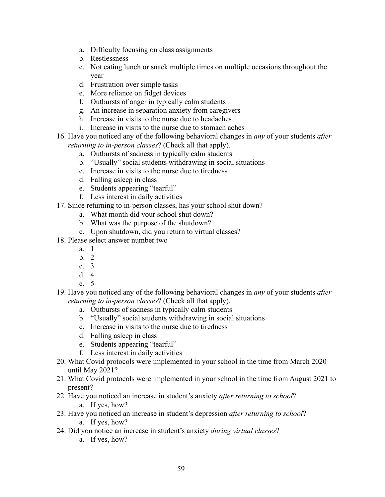- a. Difficulty focusing on class assignments
- b. Restlessness
- c. Not eating lunch or snack multiple times on multiple occasions throughout the year
- d. Frustration over simple tasks
- e. More reliance on fidget devices
- f. Outbursts of anger in typically calm students
- g. An increase in separation anxiety from caregivers
- h. Increase in visits to the nurse due to headaches
- i. Increase in visits to the nurse due to stomach aches
- 16. Have you noticed any of the following behavioral changes in *any* of your students *after returning to in-person classes*? (Check all that apply).
	- a. Outbursts of sadness in typically calm students
	- b. "Usually" social students withdrawing in social situations
	- c. Increase in visits to the nurse due to tiredness
	- d. Falling asleep in class
	- e. Students appearing "tearful"
	- f. Less interest in daily activities
- 17. Since returning to in-person classes, has your school shut down?
	- a. What month did your school shut down?
	- b. What was the purpose of the shutdown?
	- c. Upon shutdown, did you return to virtual classes?
- 18. Please select answer number two
	- a. 1
	- b. 2
	- c. 3
	- d. 4
	- e. 5
- 19. Have you noticed any of the following behavioral changes in *any* of your students *after returning to in-person classes*? (Check all that apply).
	- a. Outbursts of sadness in typically calm students
	- b. "Usually" social students withdrawing in social situations
	- c. Increase in visits to the nurse due to tiredness
	- d. Falling asleep in class
	- e. Students appearing "tearful"
	- f. Less interest in daily activities
- 20. What Covid protocols were implemented in your school in the time from March 2020 until May 2021?
- 21. What Covid protocols were implemented in your school in the time from August 2021 to present?
- 22. Have you noticed an increase in student's anxiety *after returning to school*?
	- a. If yes, how?
- 23. Have you noticed an increase in student's depression *after returning to school*? a. If yes, how?
- 24. Did you notice an increase in student's anxiety *during virtual classes*?
	- a. If yes, how?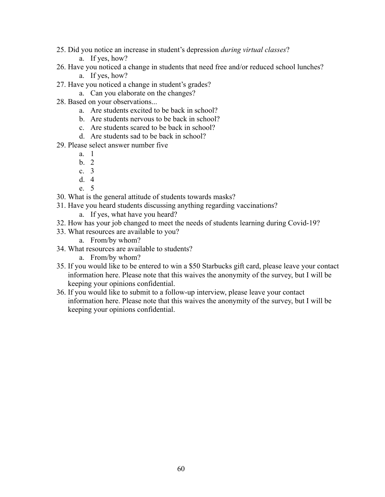- 25. Did you notice an increase in student's depression *during virtual classes*?
	- a. If yes, how?
- 26. Have you noticed a change in students that need free and/or reduced school lunches?
	- a. If yes, how?
- 27. Have you noticed a change in student's grades?
	- a. Can you elaborate on the changes?
- 28. Based on your observations...
	- a. Are students excited to be back in school?
	- b. Are students nervous to be back in school?
	- c. Are students scared to be back in school?
	- d. Are students sad to be back in school?
- 29. Please select answer number five
	- a. 1
	- b. 2
	- c. 3
	- d. 4
	- e. 5
- 30. What is the general attitude of students towards masks?
- 31. Have you heard students discussing anything regarding vaccinations?
	- a. If yes, what have you heard?
- 32. How has your job changed to meet the needs of students learning during Covid-19?
- 33. What resources are available to you?
	- a. From/by whom?
- 34. What resources are available to students?
	- a. From/by whom?
- 35. If you would like to be entered to win a \$50 Starbucks gift card, please leave your contact information here. Please note that this waives the anonymity of the survey, but I will be keeping your opinions confidential.
- 36. If you would like to submit to a follow-up interview, please leave your contact information here. Please note that this waives the anonymity of the survey, but I will be keeping your opinions confidential.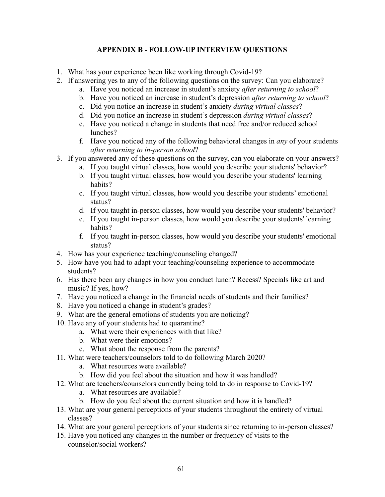## **APPENDIX B - FOLLOW-UP INTERVIEW QUESTIONS**

- 1. What has your experience been like working through Covid-19?
- 2. If answering yes to any of the following questions on the survey: Can you elaborate?
	- a. Have you noticed an increase in student's anxiety *after returning to school*?
	- b. Have you noticed an increase in student's depression *after returning to school*?
	- c. Did you notice an increase in student's anxiety *during virtual classes*?
	- d. Did you notice an increase in student's depression *during virtual classes*?
	- e. Have you noticed a change in students that need free and/or reduced school lunches?
	- f. Have you noticed any of the following behavioral changes in *any* of your students *after returning to in-person school*?
- 3. If you answered any of these questions on the survey, can you elaborate on your answers?
	- a. If you taught virtual classes, how would you describe your students' behavior?
	- b. If you taught virtual classes, how would you describe your students' learning habits?
	- c. If you taught virtual classes, how would you describe your students' emotional status?
	- d. If you taught in-person classes, how would you describe your students' behavior?
	- e. If you taught in-person classes, how would you describe your students' learning habits?
	- f. If you taught in-person classes, how would you describe your students' emotional status?
- 4. How has your experience teaching/counseling changed?
- 5. How have you had to adapt your teaching/counseling experience to accommodate students?
- 6. Has there been any changes in how you conduct lunch? Recess? Specials like art and music? If yes, how?
- 7. Have you noticed a change in the financial needs of students and their families?
- 8. Have you noticed a change in student's grades?
- 9. What are the general emotions of students you are noticing?
- 10. Have any of your students had to quarantine?
	- a. What were their experiences with that like?
	- b. What were their emotions?
	- c. What about the response from the parents?
- 11. What were teachers/counselors told to do following March 2020?
	- a. What resources were available?
	- b. How did you feel about the situation and how it was handled?
- 12. What are teachers/counselors currently being told to do in response to Covid-19?
	- a. What resources are available?
	- b. How do you feel about the current situation and how it is handled?
- 13. What are your general perceptions of your students throughout the entirety of virtual classes?
- 14. What are your general perceptions of your students since returning to in-person classes?
- 15. Have you noticed any changes in the number or frequency of visits to the counselor/social workers?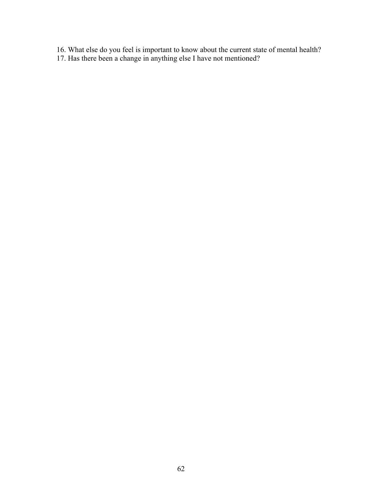- 16. What else do you feel is important to know about the current state of mental health?
- 17. Has there been a change in anything else I have not mentioned?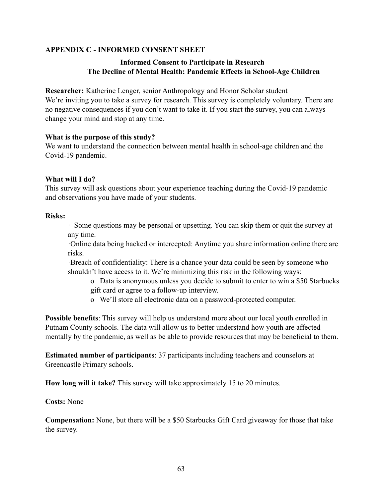## **APPENDIX C - INFORMED CONSENT SHEET**

## **Informed Consent to Participate in Research The Decline of Mental Health: Pandemic Effects in School-Age Children**

**Researcher:** Katherine Lenger, senior Anthropology and Honor Scholar student We're inviting you to take a survey for research. This survey is completely voluntary. There are no negative consequences if you don't want to take it. If you start the survey, you can always change your mind and stop at any time.

## **What is the purpose of this study?**

We want to understand the connection between mental health in school-age children and the Covid-19 pandemic.

## **What will I do?**

This survey will ask questions about your experience teaching during the Covid-19 pandemic and observations you have made of your students.

## **Risks:**

· Some questions may be personal or upsetting. You can skip them or quit the survey at any time.

·Online data being hacked or intercepted: Anytime you share information online there are risks.

·Breach of confidentiality: There is a chance your data could be seen by someone who shouldn't have access to it. We're minimizing this risk in the following ways:

- o Data is anonymous unless you decide to submit to enter to win a \$50 Starbucks gift card or agree to a follow-up interview.
- o We'll store all electronic data on a password-protected computer.

**Possible benefits**: This survey will help us understand more about our local youth enrolled in Putnam County schools. The data will allow us to better understand how youth are affected mentally by the pandemic, as well as be able to provide resources that may be beneficial to them.

**Estimated number of participants**: 37 participants including teachers and counselors at Greencastle Primary schools.

**How long will it take?** This survey will take approximately 15 to 20 minutes.

## **Costs:** None

**Compensation:** None, but there will be a \$50 Starbucks Gift Card giveaway for those that take the survey.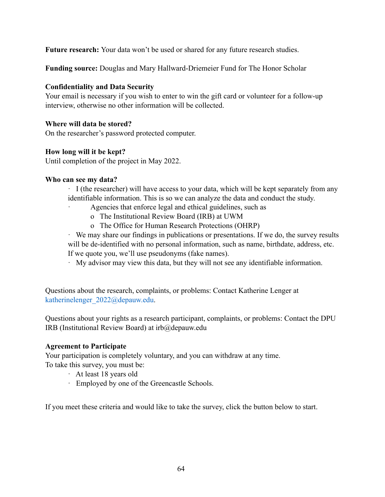**Future research:** Your data won't be used or shared for any future research studies.

**Funding source:** Douglas and Mary Hallward-Driemeier Fund for The Honor Scholar

## **Confidentiality and Data Security**

Your email is necessary if you wish to enter to win the gift card or volunteer for a follow-up interview, otherwise no other information will be collected.

## **Where will data be stored?**

On the researcher's password protected computer.

## **How long will it be kept?**

Until completion of the project in May 2022.

## **Who can see my data?**

· I (the researcher) will have access to your data, which will be kept separately from any identifiable information. This is so we can analyze the data and conduct the study.

- Agencies that enforce legal and ethical guidelines, such as
	- o The Institutional Review Board (IRB) at UWM
- o The Office for Human Research Protections (OHRP)

· We may share our findings in publications or presentations. If we do, the survey results will be de-identified with no personal information, such as name, birthdate, address, etc. If we quote you, we'll use pseudonyms (fake names).

· My advisor may view this data, but they will not see any identifiable information.

Questions about the research, complaints, or problems: Contact Katherine Lenger at katherinelenger\_2022@depauw.edu.

Questions about your rights as a research participant, complaints, or problems: Contact the DPU IRB (Institutional Review Board) at irb@depauw.edu

## **Agreement to Participate**

Your participation is completely voluntary, and you can withdraw at any time. To take this survey, you must be:

- · At least 18 years old
- · Employed by one of the Greencastle Schools.

If you meet these criteria and would like to take the survey, click the button below to start.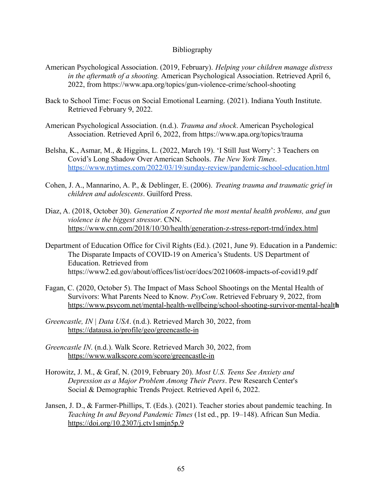#### Bibliography

- American Psychological Association. (2019, February). *Helping your children manage distress in the aftermath of a shooting.* American Psychological Association. Retrieved April 6, 2022, from https://www.apa.org/topics/gun-violence-crime/school-shooting
- Back to School Time: Focus on Social Emotional Learning. (2021). Indiana Youth Institute. Retrieved February 9, 2022.
- American Psychological Association. (n.d.). *Trauma and shock*. American Psychological Association. Retrieved April 6, 2022, from https://www.apa.org/topics/trauma
- Belsha, K., Asmar, M., & Higgins, L. (2022, March 19). 'I Still Just Worry': [3](https://www.nytimes.com/2022/03/19/sunday-review/pandemic-school-education.html) Teachers on Covid's Long Shadow Over American Schools. *The New York Times*. <https://www.nytimes.com/2022/03/19/sunday-review/pandemic-school-education.html>
- Cohen, J. A., Mannarino, A. P., & Deblinger, E. (2006). *Treating trauma and traumatic grief in children and adolescents*. Guilford Press.
- Diaz, A. (2018, October 30). *Generation Z reported the most mental health problems, and gun violence is the biggest stressor*. CNN[.](https://www.cnn.com/2018/10/30/health/generation-z-stress-report-trnd/index.html) <https://www.cnn.com/2018/10/30/health/generation-z-stress-report-trnd/index.html>
- Department of Education Office for Civil Rights (Ed.). (2021, June 9). Education in a Pandemic: The Disparate Impacts of COVID-19 on America's Students. US Department of Education. Retrieved from https://www2.ed.gov/about/offices/list/ocr/docs/20210608-impacts-of-covid19.pdf
- Fagan, C. (2020, October 5). The Impact of Mass School Shootings on the Mental Health of Survivors: What Parents Need to Know. *PsyCom*. Retrieved February 9, 2022, from [https://www.psycom.net/mental-health-wellbeing/school-shooting-survivor-mental-healt](https://www.psycom.net/mental-health-wellbeing/school-shooting-survivor-mental-health)**h**
- *Greencastle, IN | Data USA*. (n.d.). Retrieved March 30, 2022, from <https://datausa.io/profile/geo/greencastle-in>
- *Greencastle IN*. (n.d.). Walk Score. Retrieved March 30, 2022, fro[m](https://www.walkscore.com/score/greencastle-in) <https://www.walkscore.com/score/greencastle-in>
- Horowitz, J. M., & Graf, N. (2019, February 20). *Most U.S. Teens See Anxiety and Depression as a Major Problem Among Their Peers*. Pew Research Center's Social & Demographic Trends Project. Retrieved April 6, 2022.
- Jansen, J. D., & Farmer-Phillips, T. (Eds.). (2021). Teacher stories about pandemic teaching. In *Teaching In and Beyond Pandemic Times* (1st ed., pp. 19–148). African Sun Media. <https://doi.org/10.2307/j.ctv1smjn5p.9>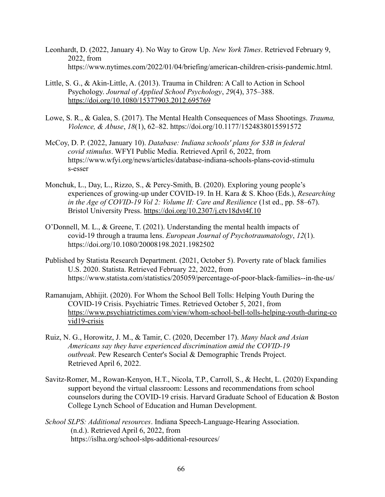- Leonhardt, D. (2022, January 4). No Way to Grow Up. *New York Times*. Retrieved February 9, 2022, from https://www.nytimes.com/2022/01/04/briefing/american-children-crisis-pandemic.html.
- Little, S. G., & Akin-Little, A. (2013). Trauma in Children: A Call to Action in School Psychology. *Journal of Applied School Psychology*, *29*(4), 375–388. <https://doi.org/10.1080/15377903.2012.695769>
- [Lowe, S. R., & Galea, S. \(2017\). The Mental Health Consequences of Mass Shootings.](https://www.zotero.org/google-docs/?zV3PW1) *Trauma, [Violence, & Abuse](https://www.zotero.org/google-docs/?zV3PW1)*, *18*(1), 62–82. <https://doi.org/10.1177/1524838015591572>
- McCoy, D. P. (2022, January 10). *Database: Indiana schools' plans for \$3B in federal covid stimulus*. WFYI Public Media. Retrieved April 6, 2022, from https://www.wfyi.org/news/articles/database-indiana-schools-plans-covid-stimulu s-esser
- Monchuk, L., Day, L., Rizzo, S., & Percy-Smith, B. (2020). Exploring young people's experiences of growing-up under COVID-19. In H. Kara & S. Khoo (Eds.), *Researching in the Age of COVID-19 Vol 2: Volume II: Care and Resilience* (1st ed., pp. 58–67). Bristol University Press. <https://doi.org/10.2307/j.ctv18dvt4f.10>
- O'Donnell, M. L., & Greene, T. (2021). Understanding the mental health impacts of covid-19 through a trauma lens. *European Journal of Psychotraumatology*, *12*(1). https://doi.org/10.1080/20008198.2021.1982502
- Published by Statista Research Department. (2021, October 5). Poverty rate of black families U.S. 2020. Statista. Retrieved February 22, 2022, from https://www.statista.com/statistics/205059/percentage-of-poor-black-families--in-the-us/
- Ramanujam, Abhijit. (2020). For Whom the School Bell Tolls: Helping Youth During the COVID-19 Crisis. Psychiatric Times. Retrieved October 5, 2021, from [https://www.psychiatrictimes.com/view/whom-school-bell-tolls-helping-youth-during-co](https://www.psychiatrictimes.com/view/whom-school-bell-tolls-helping-youth-during-covid19-crisis) [vid19-crisis](https://www.psychiatrictimes.com/view/whom-school-bell-tolls-helping-youth-during-covid19-crisis)
- Ruiz, N. G., Horowitz, J. M., & Tamir, C. (2020, December 17). *Many black and Asian Americans say they have experienced discrimination amid the COVID-19 outbreak*. Pew Research Center's Social & Demographic Trends Project. Retrieved April 6, 2022.
- Savitz-Romer, M., Rowan-Kenyon, H.T., Nicola, T.P., Carroll, S., & Hecht, L. (2020) Expanding support beyond the virtual classroom: Lessons and recommendations from school counselors during the COVID-19 crisis. Harvard Graduate School of Education & Boston College Lynch School of Education and Human Development.
- *School SLPS: Additional resources*. Indiana Speech-Language-Hearing Association. (n.d.). Retrieved April 6, 2022, from https://islha.org/school-slps-additional-resources/